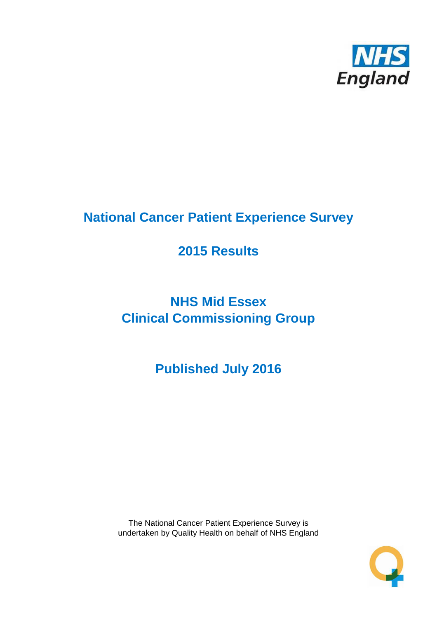

# **National Cancer Patient Experience Survey**

# **2015 Results**

# **NHS Mid Essex Clinical Commissioning Group**

**Published July 2016**

The National Cancer Patient Experience Survey is undertaken by Quality Health on behalf of NHS England

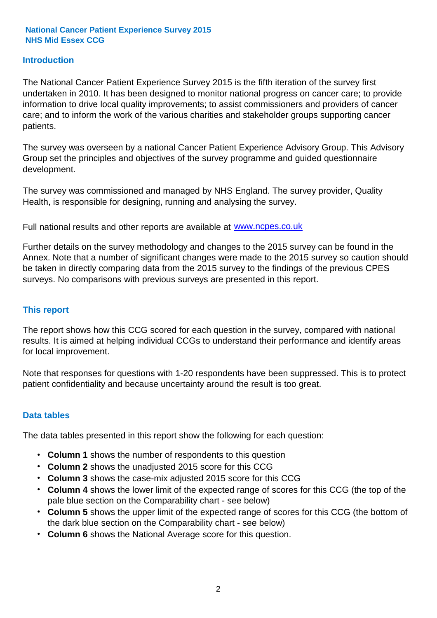#### **Introduction**

The National Cancer Patient Experience Survey 2015 is the fifth iteration of the survey first undertaken in 2010. It has been designed to monitor national progress on cancer care; to provide information to drive local quality improvements; to assist commissioners and providers of cancer care; and to inform the work of the various charities and stakeholder groups supporting cancer patients.

The survey was overseen by a national Cancer Patient Experience Advisory Group. This Advisory Group set the principles and objectives of the survey programme and guided questionnaire development.

The survey was commissioned and managed by NHS England. The survey provider, Quality Health, is responsible for designing, running and analysing the survey.

Full national results and other reports are available at www.ncpes.co.uk

Further details on the survey methodology and changes to the 2015 survey can be found in the Annex. Note that a number of significant changes were made to the 2015 survey so caution should be taken in directly comparing data from the 2015 survey to the findings of the previous CPES surveys. No comparisons with previous surveys are presented in this report.

#### **This report**

The report shows how this CCG scored for each question in the survey, compared with national results. It is aimed at helping individual CCGs to understand their performance and identify areas for local improvement.

Note that responses for questions with 1-20 respondents have been suppressed. This is to protect patient confidentiality and because uncertainty around the result is too great.

#### **Data tables**

The data tables presented in this report show the following for each question:

- **Column 1** shows the number of respondents to this question
- **Column 2** shows the unadjusted 2015 score for this CCG
- **Column 3** shows the case-mix adjusted 2015 score for this CCG
- **Column 4** shows the lower limit of the expected range of scores for this CCG (the top of the pale blue section on the Comparability chart - see below)
- **Column 5** shows the upper limit of the expected range of scores for this CCG (the bottom of the dark blue section on the Comparability chart - see below)
- **Column 6** shows the National Average score for this question.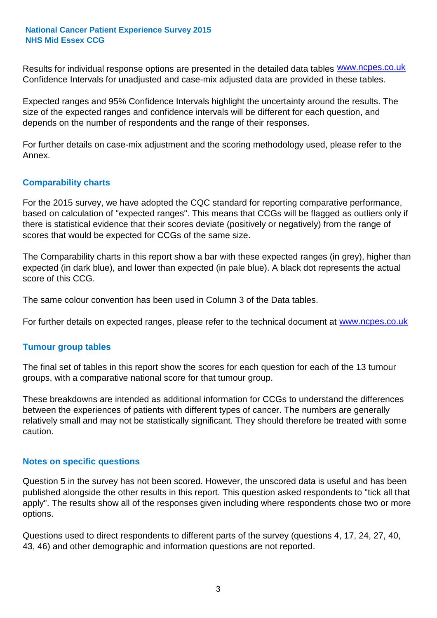Results for individual response options are presented in the detailed data tables **WWW.ncpes.co.uk** Confidence Intervals for unadjusted and case-mix adjusted data are provided in these tables.

Expected ranges and 95% Confidence Intervals highlight the uncertainty around the results. The size of the expected ranges and confidence intervals will be different for each question, and depends on the number of respondents and the range of their responses.

For further details on case-mix adjustment and the scoring methodology used, please refer to the Annex.

#### **Comparability charts**

For the 2015 survey, we have adopted the CQC standard for reporting comparative performance, based on calculation of "expected ranges". This means that CCGs will be flagged as outliers only if there is statistical evidence that their scores deviate (positively or negatively) from the range of scores that would be expected for CCGs of the same size.

The Comparability charts in this report show a bar with these expected ranges (in grey), higher than expected (in dark blue), and lower than expected (in pale blue). A black dot represents the actual score of this CCG.

The same colour convention has been used in Column 3 of the Data tables.

For further details on expected ranges, please refer to the technical document at **www.ncpes.co.uk** 

#### **Tumour group tables**

The final set of tables in this report show the scores for each question for each of the 13 tumour groups, with a comparative national score for that tumour group.

These breakdowns are intended as additional information for CCGs to understand the differences between the experiences of patients with different types of cancer. The numbers are generally relatively small and may not be statistically significant. They should therefore be treated with some caution.

#### **Notes on specific questions**

Question 5 in the survey has not been scored. However, the unscored data is useful and has been published alongside the other results in this report. This question asked respondents to "tick all that apply". The results show all of the responses given including where respondents chose two or more options.

Questions used to direct respondents to different parts of the survey (questions 4, 17, 24, 27, 40, 43, 46) and other demographic and information questions are not reported.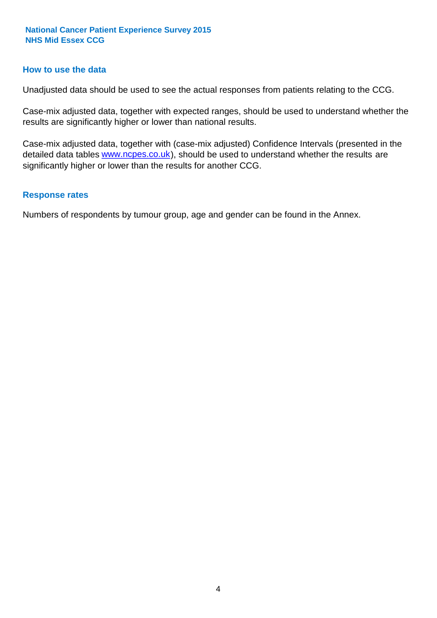#### **How to use the data**

Unadjusted data should be used to see the actual responses from patients relating to the CCG.

Case-mix adjusted data, together with expected ranges, should be used to understand whether the results are significantly higher or lower than national results.

Case-mix adjusted data, together with (case-mix adjusted) Confidence Intervals (presented in the detailed data tables **www.ncpes.co.uk**), should be used to understand whether the results are significantly higher or lower than the results for another CCG.

#### **Response rates**

Numbers of respondents by tumour group, age and gender can be found in the Annex.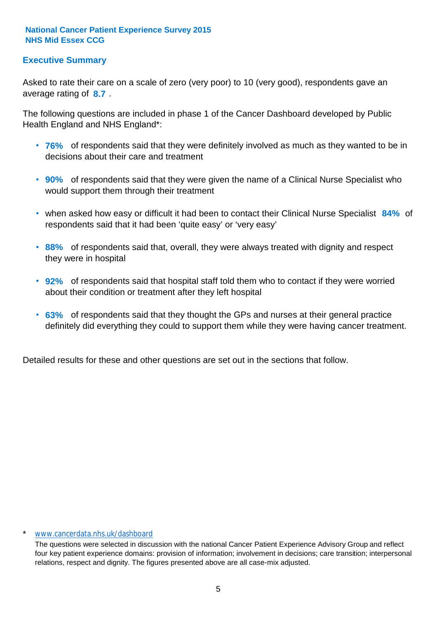#### **Executive Summary**

average rating of 8.7. Asked to rate their care on a scale of zero (very poor) to 10 (very good), respondents gave an

The following questions are included in phase 1 of the Cancer Dashboard developed by Public Health England and NHS England\*:

- **76%** of respondents said that they were definitely involved as much as they wanted to be in decisions about their care and treatment
- **90%** of respondents said that they were given the name of a Clinical Nurse Specialist who would support them through their treatment
- when asked how easy or difficult it had been to contact their Clinical Nurse Specialist 84% of respondents said that it had been 'quite easy' or 'very easy'
- **88%** of respondents said that, overall, they were always treated with dignity and respect they were in hospital
- **92%** of respondents said that hospital staff told them who to contact if they were worried about their condition or treatment after they left hospital
- **63%** of respondents said that they thought the GPs and nurses at their general practice definitely did everything they could to support them while they were having cancer treatment.

Detailed results for these and other questions are set out in the sections that follow.

#### \* www.cancerdata.nhs.uk/dashboard

The questions were selected in discussion with the national Cancer Patient Experience Advisory Group and reflect four key patient experience domains: provision of information; involvement in decisions; care transition; interpersonal relations, respect and dignity. The figures presented above are all case-mix adjusted.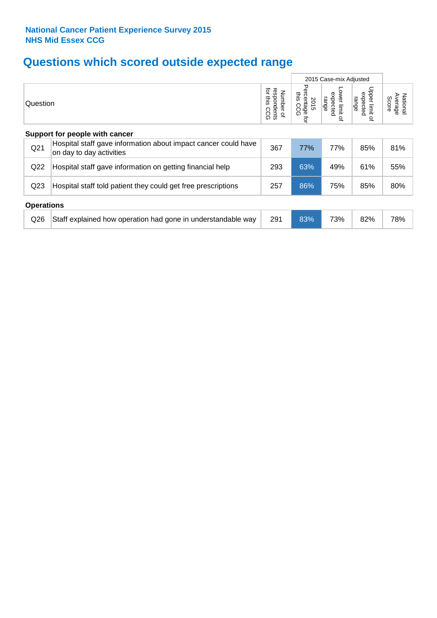## **Questions which scored outside expected range**

|                   |                                                                                            |                                             |                                        | 2015 Case-mix Adjusted                            |                                       |                              |
|-------------------|--------------------------------------------------------------------------------------------|---------------------------------------------|----------------------------------------|---------------------------------------------------|---------------------------------------|------------------------------|
| Question          |                                                                                            | for this<br>respondents<br>Number of<br>CCG | Percentage<br>ins.<br>2015<br>CCG<br>Q | ower limit<br>expected<br>range<br>$\overline{a}$ | Upper limit<br>expected<br>range<br>٩ | Average<br>National<br>Score |
|                   | Support for people with cancer                                                             |                                             |                                        |                                                   |                                       |                              |
| Q <sub>21</sub>   | Hospital staff gave information about impact cancer could have<br>on day to day activities | 367                                         | 77%                                    | 77%                                               | 85%                                   | 81%                          |
| Q22               | Hospital staff gave information on getting financial help                                  | 293                                         | 63%                                    | 49%                                               | 61%                                   | 55%                          |
| Q <sub>23</sub>   | Hospital staff told patient they could get free prescriptions                              | 257                                         | 86%                                    | 75%                                               | 85%                                   | 80%                          |
| <b>Operations</b> |                                                                                            |                                             |                                        |                                                   |                                       |                              |
| Q26               | Staff explained how operation had gone in understandable way                               | 291                                         | 83%                                    | 73%                                               | 82%                                   | 78%                          |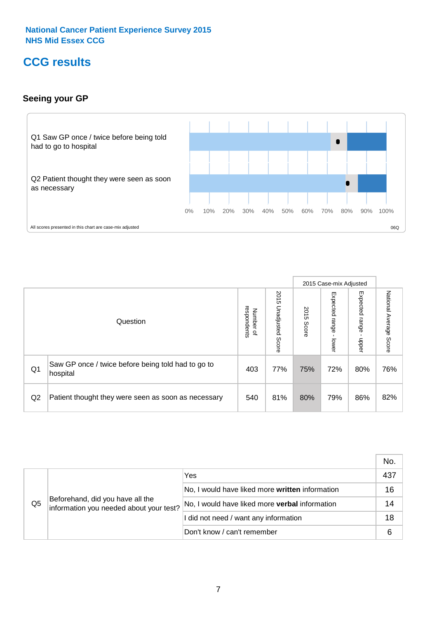### **CCG results**

#### **Seeing your GP**



|    |                                                                |                                                     |                             |               | 2015 Case-mix Adjusted     |                            |                           |
|----|----------------------------------------------------------------|-----------------------------------------------------|-----------------------------|---------------|----------------------------|----------------------------|---------------------------|
|    | Question                                                       | respondents<br><b>Number</b><br>$\overline{\sigma}$ | 2015<br>Unadjusted<br>Score | 2015<br>Score | Expected<br>range<br>lower | Expected<br>range<br>nbber | National Average<br>Score |
| Q1 | Saw GP once / twice before being told had to go to<br>hospital | 403                                                 | 77%                         | 75%           | 72%                        | 80%                        | 76%                       |
| Q2 | Patient thought they were seen as soon as necessary            | 540                                                 | 81%                         | 80%           | 79%                        | 86%                        | 82%                       |

|    |                                                                             |                                                       | No. |
|----|-----------------------------------------------------------------------------|-------------------------------------------------------|-----|
|    | Beforehand, did you have all the<br>information you needed about your test? | Yes                                                   | 437 |
|    |                                                                             | No, I would have liked more written information       | 16  |
| Q5 |                                                                             | No, I would have liked more <b>verbal</b> information | 14  |
|    |                                                                             | I did not need / want any information                 | 18  |
|    |                                                                             | Don't know / can't remember                           |     |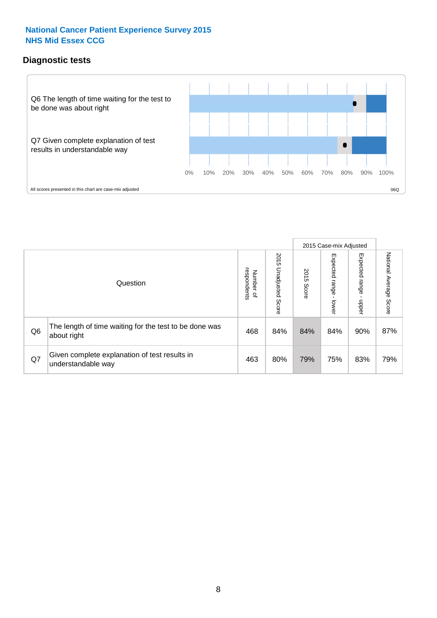#### **Diagnostic tests**



|                |                                                                       |                                   |                             |               | 2015 Case-mix Adjusted      |                         |                           |
|----------------|-----------------------------------------------------------------------|-----------------------------------|-----------------------------|---------------|-----------------------------|-------------------------|---------------------------|
|                | Question                                                              | respondents<br>Number<br>$\Omega$ | 2015<br>Unadjusted<br>Score | 2015<br>Score | Expected<br> range<br>lower | Expected range<br>nbber | National Average<br>Score |
| Q <sub>6</sub> | The length of time waiting for the test to be done was<br>about right | 468                               | 84%                         | 84%           | 84%                         | 90%                     | 87%                       |
| Q7             | Given complete explanation of test results in<br>understandable way   | 463                               | 80%                         | 79%           | 75%                         | 83%                     | 79%                       |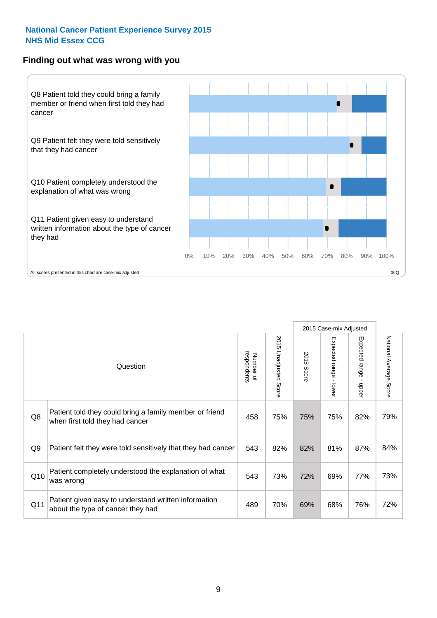#### **Finding out what was wrong with you**



|     |                                                                                            |                          |                       |     | 2015 Case-mix Adjusted<br>Expected range<br>Expected range - lower<br>2015 Score<br>$\mathbf{I}$<br>nbber<br>75%<br>82%<br>81%<br>87%<br>69%<br>77% |     |                           |
|-----|--------------------------------------------------------------------------------------------|--------------------------|-----------------------|-----|-----------------------------------------------------------------------------------------------------------------------------------------------------|-----|---------------------------|
|     | Question                                                                                   | respondents<br>Number of | 2015 Unadjusted Score |     |                                                                                                                                                     |     | National Average<br>Score |
| Q8  | Patient told they could bring a family member or friend<br>when first told they had cancer | 458                      | 75%                   | 75% |                                                                                                                                                     |     | 79%                       |
| Q9  | Patient felt they were told sensitively that they had cancer                               | 543                      | 82%                   | 82% |                                                                                                                                                     |     | 84%                       |
| Q10 | Patient completely understood the explanation of what<br>was wrong                         | 543                      | 73%                   | 72% |                                                                                                                                                     |     | 73%                       |
| Q11 | Patient given easy to understand written information<br>about the type of cancer they had  | 489                      | 70%                   | 69% | 68%                                                                                                                                                 | 76% | 72%                       |

9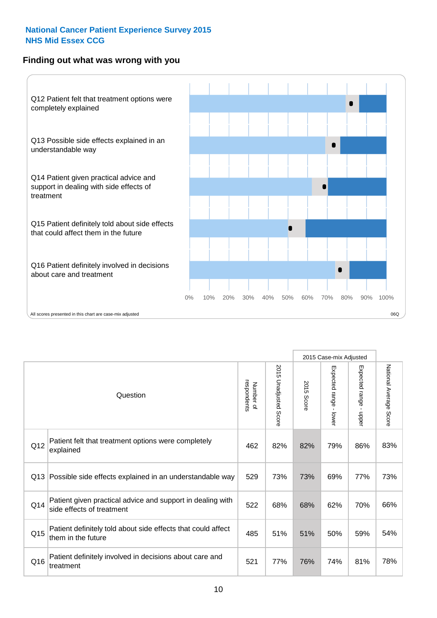#### **Finding out what was wrong with you**



|     |                                                                                         |                          |                          |               | 2015 Case-mix Adjusted                  |                           |                        |
|-----|-----------------------------------------------------------------------------------------|--------------------------|--------------------------|---------------|-----------------------------------------|---------------------------|------------------------|
|     | Question                                                                                | Number of<br>respondents | 2015<br>Unadjusted Score | 2015<br>Score | Expected range<br>$\mathbf{I}$<br>lower | Expected range<br>- nbber | National Average Score |
| Q12 | Patient felt that treatment options were completely<br>explained                        | 462                      | 82%                      | 82%           | 79%                                     | 86%                       | 83%                    |
| Q13 | Possible side effects explained in an understandable way                                | 529                      | 73%                      | 73%           | 69%                                     | 77%                       | 73%                    |
| Q14 | Patient given practical advice and support in dealing with<br>side effects of treatment | 522                      | 68%                      | 68%           | 62%                                     | 70%                       | 66%                    |
| Q15 | Patient definitely told about side effects that could affect<br>them in the future      | 485                      | 51%                      | 51%           | 50%                                     | 59%                       | 54%                    |
| Q16 | Patient definitely involved in decisions about care and<br>treatment                    | 521                      | 77%                      | 76%           | 74%                                     | 81%                       | 78%                    |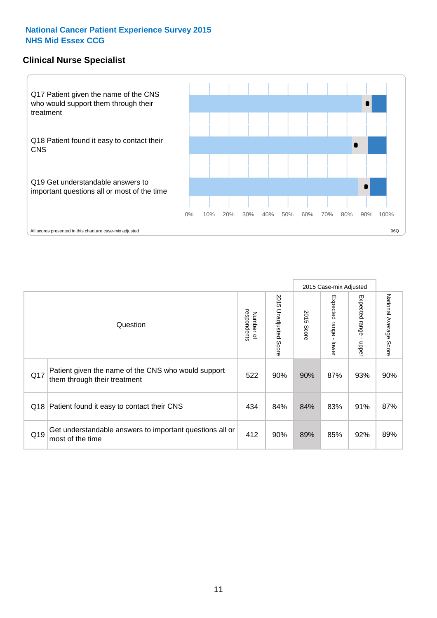#### **Clinical Nurse Specialist**



|     |                                                                                     |                          |                       | 2015 Case-mix Adjusted |                         |                         |                        |
|-----|-------------------------------------------------------------------------------------|--------------------------|-----------------------|------------------------|-------------------------|-------------------------|------------------------|
|     | Question                                                                            | Number of<br>respondents | 2015 Unadjusted Score | 2015<br>Score          | Expected range<br>lower | Expected range<br>nbber | National Average Score |
| Q17 | Patient given the name of the CNS who would support<br>them through their treatment | 522                      | 90%                   | 90%                    | 87%                     | 93%                     | 90%                    |
| Q18 | Patient found it easy to contact their CNS                                          | 434                      | 84%                   | 84%                    | 83%                     | 91%                     | 87%                    |
| Q19 | Get understandable answers to important questions all or<br>most of the time        | 412                      | 90%                   | 89%                    | 85%                     | 92%                     | 89%                    |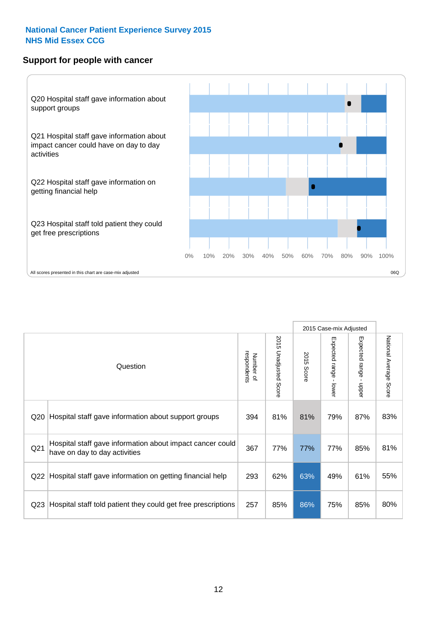#### **Support for people with cancer**



|                 |                                                                                            |                          |                          |               | 2015 Case-mix Adjusted                  |                                           |                        |
|-----------------|--------------------------------------------------------------------------------------------|--------------------------|--------------------------|---------------|-----------------------------------------|-------------------------------------------|------------------------|
|                 | Question                                                                                   | respondents<br>Number of | 2015 Unadjusted<br>Score | 2015<br>Score | Expected range<br>$\mathbf{I}$<br>lower | Expected range<br>$\blacksquare$<br>nbber | National Average Score |
| Q20             | Hospital staff gave information about support groups                                       | 394                      | 81%                      | 81%           | 79%                                     | 87%                                       | 83%                    |
| Q <sub>21</sub> | Hospital staff gave information about impact cancer could<br>have on day to day activities | 367                      | 77%                      | 77%           | 77%                                     | 85%                                       | 81%                    |
| Q22             | Hospital staff gave information on getting financial help                                  | 293                      | 62%                      | 63%           | 49%                                     | 61%                                       | 55%                    |
| Q23             | Hospital staff told patient they could get free prescriptions                              | 257                      | 85%                      | 86%           | 75%                                     | 85%                                       | 80%                    |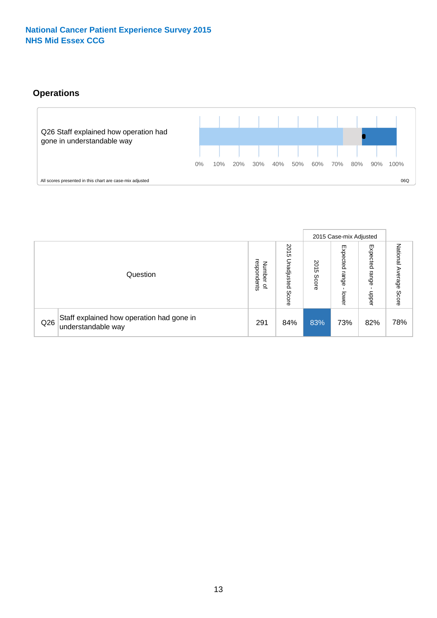#### **Operations**



|     |                                                                 |                                              |                             |               | 2015 Case-mix Adjusted     |                           |                              |
|-----|-----------------------------------------------------------------|----------------------------------------------|-----------------------------|---------------|----------------------------|---------------------------|------------------------------|
|     | Question                                                        | respondents<br>Number<br>$\overline{\sigma}$ | 2015<br>Unadjusted<br>Score | 2015<br>Score | Expected<br>range<br>lower | Expected<br>range<br>dddn | National<br>Average<br>Score |
| Q26 | Staff explained how operation had gone in<br>understandable way | 291                                          | 84%                         | 83%           | 73%                        | 82%                       | 78%                          |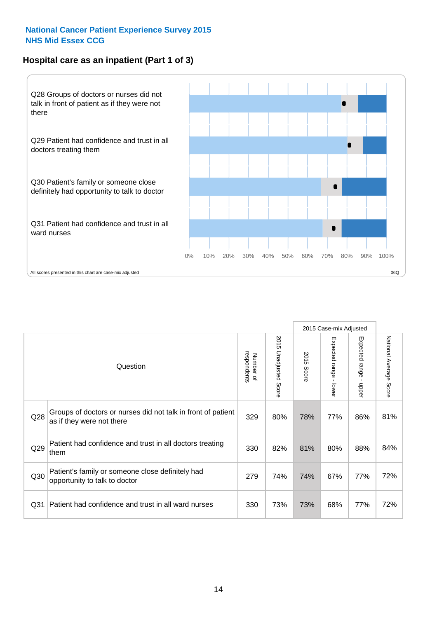#### **Hospital care as an inpatient (Part 1 of 3)**



All scores presented in this chart are case-mix adjusted  $06Q$ 

|                 |                                                                                           |                          |                       |                      | 2015 Case-mix Adjusted                  |                           |                        |
|-----------------|-------------------------------------------------------------------------------------------|--------------------------|-----------------------|----------------------|-----------------------------------------|---------------------------|------------------------|
|                 | Question                                                                                  | respondents<br>Number of | 2015 Unadjusted Score | 2015<br><b>Score</b> | Expected range<br>$\mathbf{r}$<br>lower | Expected range -<br>nbber | National Average Score |
| Q28             | Groups of doctors or nurses did not talk in front of patient<br>as if they were not there | 329                      | 80%                   | 78%                  | 77%                                     | 86%                       | 81%                    |
| Q29             | Patient had confidence and trust in all doctors treating<br>them                          | 330                      | 82%                   | 81%                  | 80%                                     | 88%                       | 84%                    |
| Q30             | Patient's family or someone close definitely had<br>opportunity to talk to doctor         | 279                      | 74%                   | 74%                  | 67%                                     | 77%                       | 72%                    |
| Q <sub>31</sub> | Patient had confidence and trust in all ward nurses                                       | 330                      | 73%                   | 73%                  | 68%                                     | 77%                       | 72%                    |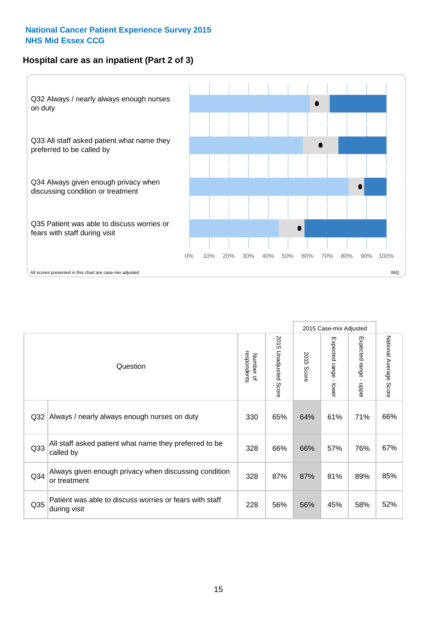#### **Hospital care as an inpatient (Part 2 of 3)**



|                 |                                                                         |                          |                          |               | 2015 Case-mix Adjusted |                                         |                           |
|-----------------|-------------------------------------------------------------------------|--------------------------|--------------------------|---------------|------------------------|-----------------------------------------|---------------------------|
|                 | Question                                                                | respondents<br>Number of | 2015 Unadjusted<br>Score | 2015<br>Score | Expected range - lower | Expected range<br>$\mathbf{r}$<br>nbber | National Average<br>Score |
| Q32             | Always / nearly always enough nurses on duty                            | 330                      | 65%                      | 64%           | 61%                    | 71%                                     | 66%                       |
| Q33             | All staff asked patient what name they preferred to be<br>called by     | 328                      | 66%                      | 66%           | 57%                    | 76%                                     | 67%                       |
| Q34             | Always given enough privacy when discussing condition<br>or treatment   | 328                      | 87%                      | 87%           | 81%                    | 89%                                     | 85%                       |
| Q <sub>35</sub> | Patient was able to discuss worries or fears with staff<br>during visit | 228                      | 56%                      | 56%           | 45%                    | 58%                                     | 52%                       |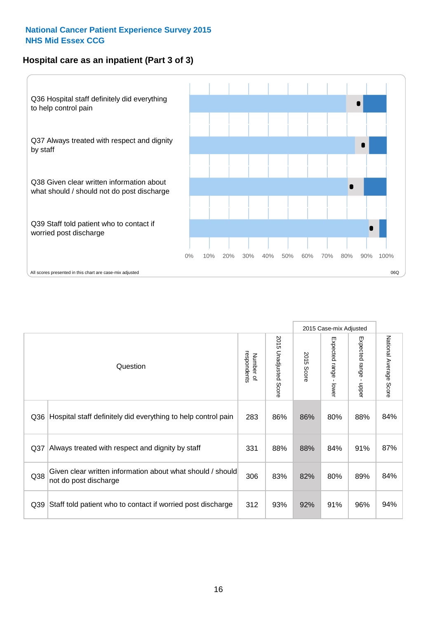#### **Hospital care as an inpatient (Part 3 of 3)**



|                 |                                                                                     |                          |                                 |               | 2015 Case-mix Adjusted                    |                                           |                        |
|-----------------|-------------------------------------------------------------------------------------|--------------------------|---------------------------------|---------------|-------------------------------------------|-------------------------------------------|------------------------|
|                 | Question                                                                            | respondents<br>Number of | 2015<br><b>Unadjusted Score</b> | 2015<br>Score | Expected range<br>$\blacksquare$<br>lower | Expected range<br>$\blacksquare$<br>nbber | National Average Score |
| Q36             | Hospital staff definitely did everything to help control pain                       | 283                      | 86%                             | 86%           | 80%                                       | 88%                                       | 84%                    |
| Q <sub>37</sub> | Always treated with respect and dignity by staff                                    | 331                      | 88%                             | 88%           | 84%                                       | 91%                                       | 87%                    |
| Q38             | Given clear written information about what should / should<br>not do post discharge | 306                      | 83%                             | 82%           | 80%                                       | 89%                                       | 84%                    |
| Q39             | Staff told patient who to contact if worried post discharge                         | 312                      | 93%                             | 92%           | 91%                                       | 96%                                       | 94%                    |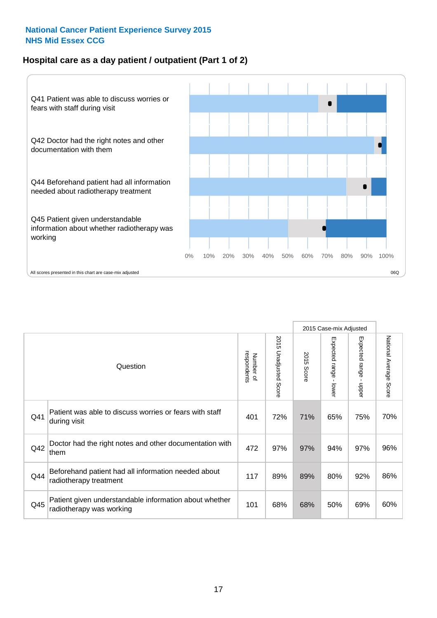#### **Hospital care as a day patient / outpatient (Part 1 of 2)**



|     |                                                                                    |                          |                          |               | 2015 Case-mix Adjusted                  |                                           |                        |
|-----|------------------------------------------------------------------------------------|--------------------------|--------------------------|---------------|-----------------------------------------|-------------------------------------------|------------------------|
|     | Question                                                                           | respondents<br>Number of | 2015<br>Unadjusted Score | 2015<br>Score | Expected range<br>$\mathbf{r}$<br>lower | Expected range<br>$\blacksquare$<br>nbber | National Average Score |
| Q41 | Patient was able to discuss worries or fears with staff<br>during visit            | 401                      | 72%                      | 71%           | 65%                                     | 75%                                       | 70%                    |
| Q42 | Doctor had the right notes and other documentation with<br>them                    | 472                      | 97%                      | 97%           | 94%                                     | 97%                                       | 96%                    |
| Q44 | Beforehand patient had all information needed about<br>radiotherapy treatment      | 117                      | 89%                      | 89%           | 80%                                     | 92%                                       | 86%                    |
| Q45 | Patient given understandable information about whether<br>radiotherapy was working | 101                      | 68%                      | 68%           | 50%                                     | 69%                                       | 60%                    |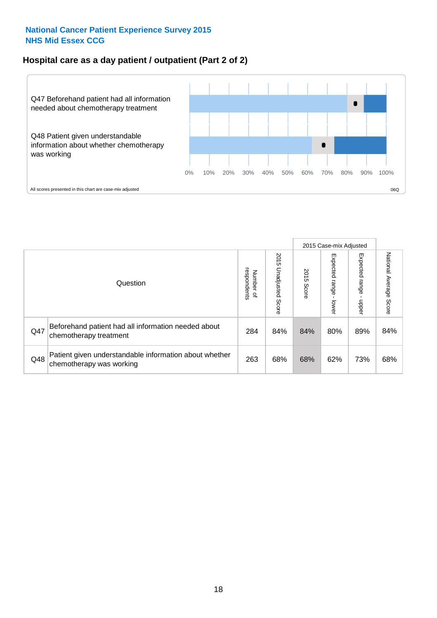#### **Hospital care as a day patient / outpatient (Part 2 of 2)**



|     |                                                                                    |                                       | 2015 Case-mix Adjusted      |               |                         |                         |                           |
|-----|------------------------------------------------------------------------------------|---------------------------------------|-----------------------------|---------------|-------------------------|-------------------------|---------------------------|
|     | Question                                                                           | respondents<br>Number<br>$\mathbf{Q}$ | 2015<br>Unadjusted<br>Score | 2015<br>Score | Expected range<br>lower | Expected range<br>doper | National Average<br>Score |
| Q47 | Beforehand patient had all information needed about<br>chemotherapy treatment      | 284                                   | 84%                         | 84%           | 80%                     | 89%                     | 84%                       |
| Q48 | Patient given understandable information about whether<br>chemotherapy was working | 263                                   | 68%                         | 68%           | 62%                     | 73%                     | 68%                       |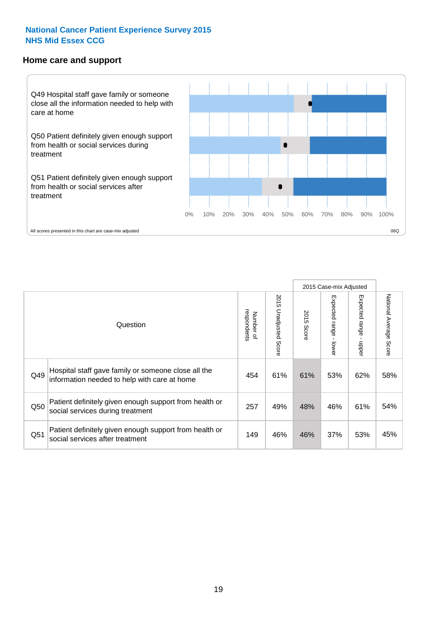#### **Home care and support**



2015 Case-mix Adjusted 2015 Unadjusted Score Expected range - upper National Average Score 2015 Unadjusted Score Expected range - lower National Average Score Expected range - lower Expected range - upper Number of<br>respondents 2015 Score respondents 2015 Score Number of Question Hospital staff gave family or someone close all the Q49 454 61% 61% 53% 62% information needed to help with care at home 58% Patient definitely given enough support from health or  $\frac{1}{250}$  social services during treatment  $\frac{1}{257}$   $\frac{49\%}{48\%}$   $\frac{46\%}{46\%}$  61% 54% Patient definitely given enough support from health or  $\frac{149}{\text{social services after treatment}}$  and the settlement  $\frac{149}{\text{37\%}}$  and  $\frac{149}{\text{46\%}}$  46% 37% 53% 45%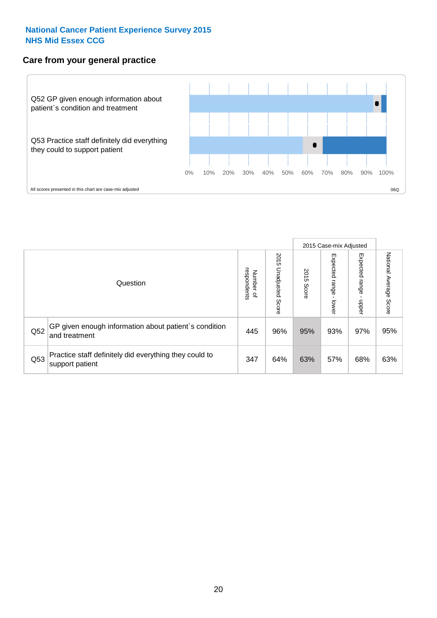#### **Care from your general practice**



|     |                                                                           |                                       |                             |               |                         | 2015 Case-mix Adjusted    |                           |
|-----|---------------------------------------------------------------------------|---------------------------------------|-----------------------------|---------------|-------------------------|---------------------------|---------------------------|
|     | Question                                                                  | respondents<br>Number<br>$\mathbf{Q}$ | 2015<br>Unadjusted<br>Score | 2015<br>Score | Expected range<br>lower | Expected<br>ange<br>dpper | National Average<br>Score |
| Q52 | GP given enough information about patient's condition<br>and treatment    | 445                                   | 96%                         | 95%           | 93%                     | 97%                       | 95%                       |
| Q53 | Practice staff definitely did everything they could to<br>support patient | 347                                   | 64%                         | 63%           | 57%                     | 68%                       | 63%                       |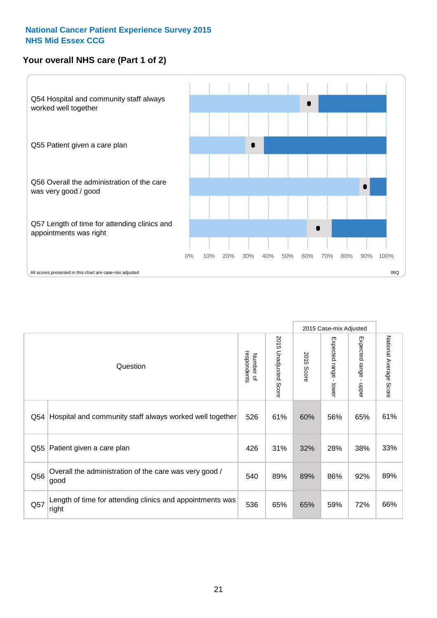#### **Your overall NHS care (Part 1 of 2)**



|     |                                                                    |                          |                          |                      | 2015 Case-mix Adjusted                    |                                           |                        |
|-----|--------------------------------------------------------------------|--------------------------|--------------------------|----------------------|-------------------------------------------|-------------------------------------------|------------------------|
|     | Question                                                           | respondents<br>Number of | 2015<br>Unadjusted Score | 2015<br><b>Score</b> | Expected range<br>$\blacksquare$<br>lower | Expected range<br>$\blacksquare$<br>nbber | National Average Score |
| Q54 | Hospital and community staff always worked well together           | 526                      | 61%                      | 60%                  | 56%                                       | 65%                                       | 61%                    |
| Q55 | Patient given a care plan                                          | 426                      | 31%                      | 32%                  | 28%                                       | 38%                                       | 33%                    |
| Q56 | Overall the administration of the care was very good /<br>good     | 540                      | 89%                      | 89%                  | 86%                                       | 92%                                       | 89%                    |
| Q57 | Length of time for attending clinics and appointments was<br>right | 536                      | 65%                      | 65%                  | 59%                                       | 72%                                       | 66%                    |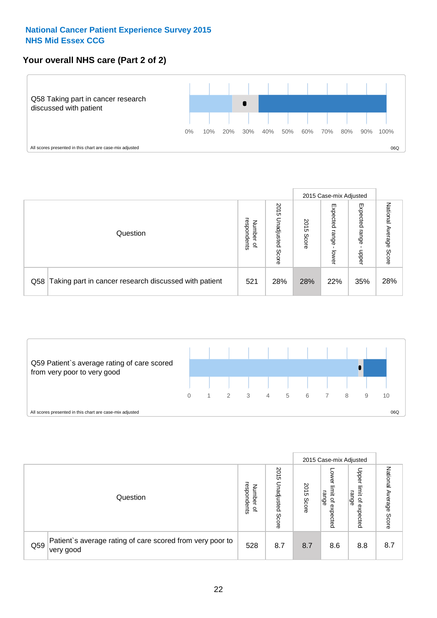#### **Your overall NHS care (Part 2 of 2)**



|     |                                                       |                                              |                             |               | 2015 Case-mix Adjusted     |                            |                        |
|-----|-------------------------------------------------------|----------------------------------------------|-----------------------------|---------------|----------------------------|----------------------------|------------------------|
|     | Question                                              | respondents<br>Number<br>$\overline{\sigma}$ | 2015<br>Unadjusted<br>Score | 2015<br>Score | Expected<br>range<br>lower | Expected<br>range<br>doper | National Average Score |
| Q58 | Taking part in cancer research discussed with patient | 521                                          | 28%                         | 28%           | 22%                        | 35%                        | 28%                    |



|     |                                                                                     |                                              |                             |               |                                         | 2015 Case-mix Adjusted                                |                        |
|-----|-------------------------------------------------------------------------------------|----------------------------------------------|-----------------------------|---------------|-----------------------------------------|-------------------------------------------------------|------------------------|
|     | Question                                                                            | respondents<br>Number<br>$\overline{\sigma}$ | 2015<br>Unadjusted<br>Score | 2015<br>Score | OWer<br>limit<br>range<br>٩<br>expected | Upper<br>jimit<br>range<br>$\overline{a}$<br>expected | National Average Score |
| Q59 | Patient's average rating of care scored from very poor to<br><sup>∖</sup> very good | 528                                          | 8.7                         | 8.7           | 8.6                                     | 8.8                                                   | 8.7                    |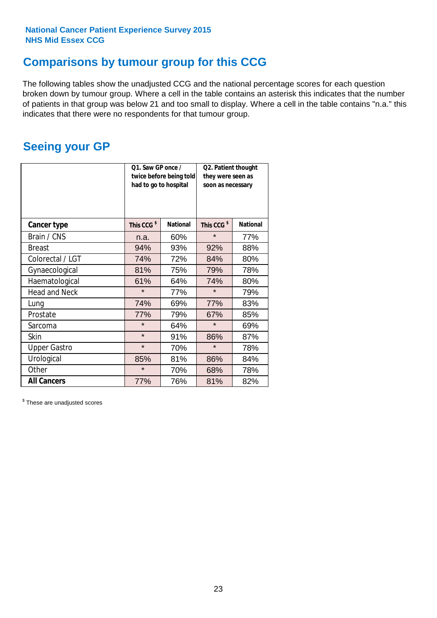### **Comparisons by tumour group for this CCG**

The following tables show the unadjusted CCG and the national percentage scores for each question broken down by tumour group. Where a cell in the table contains an asterisk this indicates that the number of patients in that group was below 21 and too small to display. Where a cell in the table contains "n.a." this indicates that there were no respondents for that tumour group.

### **Seeing your GP**

|                      | Q1. Saw GP once /<br>had to go to hospital | twice before being told | Q2. Patient thought<br>they were seen as<br>soon as necessary |                 |  |
|----------------------|--------------------------------------------|-------------------------|---------------------------------------------------------------|-----------------|--|
| <b>Cancer type</b>   | This CCG <sup>\$</sup>                     | <b>National</b>         | This CCG <sup>\$</sup>                                        | <b>National</b> |  |
| Brain / CNS          | n.a.                                       | 60%                     | $\star$                                                       | 77%             |  |
| <b>Breast</b>        | 94%                                        | 93%                     | 92%                                                           | 88%             |  |
| Colorectal / LGT     | 74%                                        | 72%                     | 84%                                                           | 80%             |  |
| Gynaecological       | 81%                                        | 75%                     | 79%                                                           | 78%             |  |
| Haematological       | 61%                                        | 64%                     | 74%                                                           | 80%             |  |
| <b>Head and Neck</b> | $\star$                                    | 77%                     | $\star$                                                       | 79%             |  |
| Lung                 | 74%                                        | 69%                     | 77%                                                           | 83%             |  |
| Prostate             | 77%                                        | 79%                     | 67%                                                           | 85%             |  |
| Sarcoma              | $\star$                                    | 64%                     | $\star$                                                       | 69%             |  |
| Skin                 | $\star$                                    | 91%                     | 86%                                                           | 87%             |  |
| <b>Upper Gastro</b>  | $\star$                                    | 70%                     | $\star$                                                       | 78%             |  |
| Urological           | 85%                                        | 81%                     | 86%                                                           | 84%             |  |
| Other                | $\star$                                    | 70%                     | 68%                                                           | 78%             |  |
| <b>All Cancers</b>   | 77%                                        | 76%                     | 81%                                                           | 82%             |  |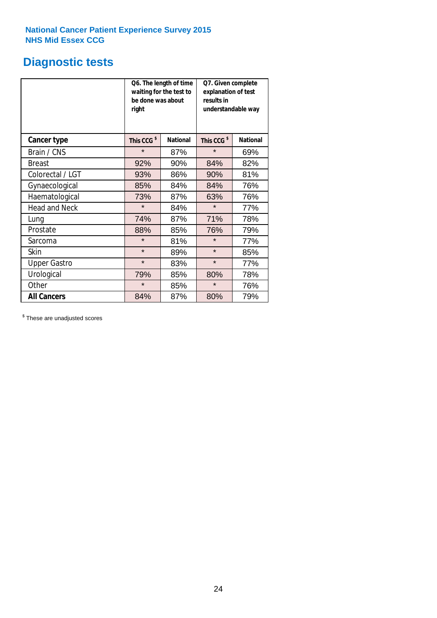### **Diagnostic tests**

|                      | be done was about<br>right | Q6. The length of time<br>waiting for the test to | Q7. Given complete<br>explanation of test<br>results in<br>understandable way |                 |  |
|----------------------|----------------------------|---------------------------------------------------|-------------------------------------------------------------------------------|-----------------|--|
| <b>Cancer type</b>   | This CCG <sup>\$</sup>     | <b>National</b>                                   | This CCG <sup>\$</sup>                                                        | <b>National</b> |  |
| Brain / CNS          | $\star$                    | 87%                                               | $\star$                                                                       | 69%             |  |
| <b>Breast</b>        | 92%                        | 90%                                               | 84%                                                                           | 82%             |  |
| Colorectal / LGT     | 93%                        | 86%                                               | 90%                                                                           | 81%             |  |
| Gynaecological       | 85%                        | 84%                                               | 84%                                                                           | 76%             |  |
| Haematological       | 73%                        | 87%                                               | 63%                                                                           | 76%             |  |
| <b>Head and Neck</b> | $\star$                    | 84%                                               | $\star$                                                                       | 77%             |  |
| Lung                 | 74%                        | 87%                                               | 71%                                                                           | 78%             |  |
| Prostate             | 88%                        | 85%                                               | 76%                                                                           | 79%             |  |
| Sarcoma              | $\star$                    | 81%                                               | $\star$                                                                       | 77%             |  |
| Skin                 | $\star$                    | 89%                                               | $\star$                                                                       | 85%             |  |
| <b>Upper Gastro</b>  | $\star$                    | 83%                                               | $\star$                                                                       | 77%             |  |
| Urological           | 79%                        | 85%                                               | 80%                                                                           | 78%             |  |
| Other                | $\star$                    | 85%                                               | $\star$                                                                       | 76%             |  |
| <b>All Cancers</b>   | 84%                        | 87%                                               | 80%                                                                           | 79%             |  |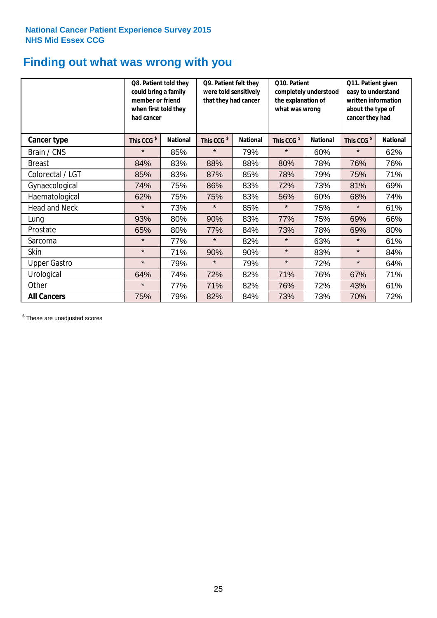### **Finding out what was wrong with you**

|                      | Q8. Patient told they<br>could bring a family<br>member or friend<br>when first told they<br>had cancer |                 | Q9. Patient felt they<br>were told sensitively<br>that they had cancer |                 | Q10. Patient<br>completely understood<br>the explanation of<br>what was wrong |                 | Q11. Patient given<br>easy to understand<br>written information<br>about the type of<br>cancer they had |                 |
|----------------------|---------------------------------------------------------------------------------------------------------|-----------------|------------------------------------------------------------------------|-----------------|-------------------------------------------------------------------------------|-----------------|---------------------------------------------------------------------------------------------------------|-----------------|
| Cancer type          | This CCG <sup>\$</sup>                                                                                  | <b>National</b> | This CCG <sup>\$</sup>                                                 | <b>National</b> | This CCG <sup>\$</sup>                                                        | <b>National</b> | This CCG <sup>\$</sup>                                                                                  | <b>National</b> |
| Brain / CNS          | $\star$                                                                                                 | 85%             | $\star$                                                                | 79%             | $\star$                                                                       | 60%             | $\star$                                                                                                 | 62%             |
| <b>Breast</b>        | 84%                                                                                                     | 83%             | 88%                                                                    | 88%             | 80%                                                                           | 78%             | 76%                                                                                                     | 76%             |
| Colorectal / LGT     | 85%                                                                                                     | 83%             | 87%                                                                    | 85%             | 78%                                                                           | 79%             | 75%                                                                                                     | 71%             |
| Gynaecological       | 74%                                                                                                     | 75%             | 86%                                                                    | 83%             | 72%                                                                           | 73%             | 81%                                                                                                     | 69%             |
| Haematological       | 62%                                                                                                     | 75%             | 75%                                                                    | 83%             | 56%                                                                           | 60%             | 68%                                                                                                     | 74%             |
| <b>Head and Neck</b> | $\star$                                                                                                 | 73%             | $\star$                                                                | 85%             | $\star$                                                                       | 75%             | $\star$                                                                                                 | 61%             |
| Lung                 | 93%                                                                                                     | 80%             | 90%                                                                    | 83%             | 77%                                                                           | 75%             | 69%                                                                                                     | 66%             |
| Prostate             | 65%                                                                                                     | 80%             | 77%                                                                    | 84%             | 73%                                                                           | 78%             | 69%                                                                                                     | 80%             |
| Sarcoma              | $\star$                                                                                                 | 77%             | $\star$                                                                | 82%             | $\star$                                                                       | 63%             | $\star$                                                                                                 | 61%             |
| Skin                 | $\star$                                                                                                 | 71%             | 90%                                                                    | 90%             | $\star$                                                                       | 83%             | $\star$                                                                                                 | 84%             |
| <b>Upper Gastro</b>  | $\star$                                                                                                 | 79%             | $\star$                                                                | 79%             | $\star$                                                                       | 72%             | $\star$                                                                                                 | 64%             |
| Urological           | 64%                                                                                                     | 74%             | 72%                                                                    | 82%             | 71%                                                                           | 76%             | 67%                                                                                                     | 71%             |
| Other                | $\star$                                                                                                 | 77%             | 71%                                                                    | 82%             | 76%                                                                           | 72%             | 43%                                                                                                     | 61%             |
| <b>All Cancers</b>   | 75%                                                                                                     | 79%             | 82%                                                                    | 84%             | 73%                                                                           | 73%             | 70%                                                                                                     | 72%             |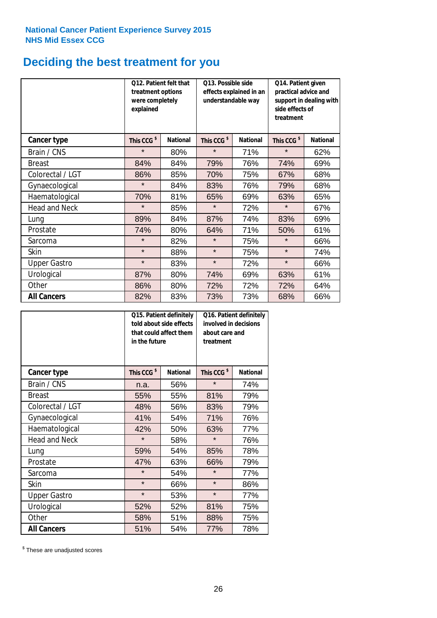## **Deciding the best treatment for you**

|                      | <b>O12. Patient felt that</b><br>treatment options<br>were completely<br>explained |                 | O13. Possible side<br>understandable way | effects explained in an | Q14. Patient given<br>practical advice and<br>support in dealing with<br>side effects of<br>treatment |                 |  |
|----------------------|------------------------------------------------------------------------------------|-----------------|------------------------------------------|-------------------------|-------------------------------------------------------------------------------------------------------|-----------------|--|
| <b>Cancer type</b>   | This CCG <sup>\$</sup>                                                             | <b>National</b> | This CCG <sup>\$</sup>                   | <b>National</b>         | This CCG <sup>\$</sup>                                                                                | <b>National</b> |  |
| Brain / CNS          | $\star$                                                                            | 80%             | $\star$                                  | 71%                     | $\star$                                                                                               | 62%             |  |
| <b>Breast</b>        | 84%                                                                                | 84%             | 79%                                      | 76%                     | 74%                                                                                                   | 69%             |  |
| Colorectal / LGT     | 86%                                                                                | 85%             | 70%                                      | 75%                     | 67%                                                                                                   | 68%             |  |
| Gynaecological       | $\star$                                                                            | 84%             | 83%                                      | 76%                     | 79%                                                                                                   | 68%             |  |
| Haematological       | 70%                                                                                | 81%             | 65%                                      | 69%                     | 63%                                                                                                   | 65%             |  |
| <b>Head and Neck</b> | $\star$                                                                            | 85%             | $\star$                                  | 72%                     | $\star$                                                                                               | 67%             |  |
| Lung                 | 89%                                                                                | 84%             | 87%                                      | 74%                     | 83%                                                                                                   | 69%             |  |
| Prostate             | 74%                                                                                | 80%             | 64%                                      | 71%                     | 50%                                                                                                   | 61%             |  |
| Sarcoma              | $\star$                                                                            | 82%             | $\star$                                  | 75%                     | $\star$                                                                                               | 66%             |  |
| Skin                 | $\star$                                                                            | 88%             | $\star$                                  | 75%                     | $\star$                                                                                               | 74%             |  |
| <b>Upper Gastro</b>  | $\star$                                                                            | 83%             | $\star$                                  | 72%                     | $\star$                                                                                               | 66%             |  |
| Urological           | 87%                                                                                | 80%             | 74%                                      | 69%                     | 63%                                                                                                   | 61%             |  |
| Other                | 86%                                                                                | 80%             | 72%                                      | 72%                     | 72%                                                                                                   | 64%             |  |
| <b>All Cancers</b>   | 82%                                                                                | 83%             | 73%                                      | 73%                     | 68%                                                                                                   | 66%             |  |

|                      | in the future          | Q15. Patient definitely<br>told about side effects<br>that could affect them | Q16. Patient definitely<br>involved in decisions<br>about care and<br>treatment |                 |  |
|----------------------|------------------------|------------------------------------------------------------------------------|---------------------------------------------------------------------------------|-----------------|--|
| <b>Cancer type</b>   | This CCG <sup>\$</sup> | <b>National</b>                                                              | This CCG <sup>\$</sup>                                                          | <b>National</b> |  |
| Brain / CNS          | n.a.                   | 56%                                                                          | $\star$                                                                         | 74%             |  |
| <b>Breast</b>        | 55%                    | 55%                                                                          | 81%                                                                             | 79%             |  |
| Colorectal / LGT     | 48%                    | 56%                                                                          | 83%                                                                             | 79%             |  |
| Gynaecological       | 41%                    | 54%                                                                          | 71%                                                                             | 76%             |  |
| Haematological       | 42%<br>50%             |                                                                              | 63%                                                                             | 77%             |  |
| <b>Head and Neck</b> | $\star$                | 58%                                                                          | $\star$                                                                         | 76%             |  |
| Lung                 | 59%                    | 54%                                                                          | 85%                                                                             | 78%             |  |
| Prostate             | 47%                    | 63%                                                                          | 66%                                                                             | 79%             |  |
| Sarcoma              | $\star$                | 54%                                                                          | $\star$                                                                         | 77%             |  |
| <b>Skin</b>          | $\star$                | 66%                                                                          | $\star$                                                                         | 86%             |  |
| <b>Upper Gastro</b>  | $\star$                | 53%                                                                          | $\star$                                                                         | 77%             |  |
| Urological           | 52%                    | 52%                                                                          | 81%                                                                             | 75%             |  |
| Other                | 58%                    | 51%                                                                          | 88%                                                                             | 75%             |  |
| <b>All Cancers</b>   | 51%                    | 54%                                                                          | 77%                                                                             | 78%             |  |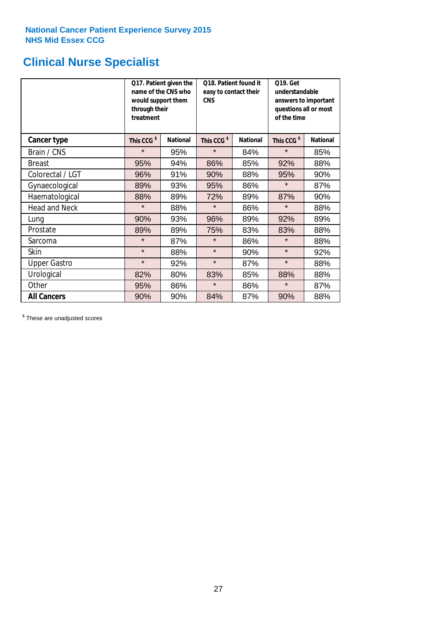## **Clinical Nurse Specialist**

|                      | would support them<br>through their<br>treatment | Q17. Patient given the<br>name of the CNS who | Q18. Patient found it<br>easy to contact their<br><b>CNS</b> |                 | <b>Q19. Get</b><br>understandable<br>answers to important<br>questions all or most<br>of the time |                 |  |
|----------------------|--------------------------------------------------|-----------------------------------------------|--------------------------------------------------------------|-----------------|---------------------------------------------------------------------------------------------------|-----------------|--|
| <b>Cancer type</b>   | This CCG <sup>\$</sup>                           | <b>National</b>                               | This CCG <sup>\$</sup>                                       | <b>National</b> | This CCG <sup>\$</sup>                                                                            | <b>National</b> |  |
| Brain / CNS          | $\star$                                          | 95%                                           | $\star$                                                      | 84%             | $\star$                                                                                           | 85%             |  |
| <b>Breast</b>        | 95%                                              | 94%                                           | 86%                                                          | 85%             | 92%                                                                                               | 88%             |  |
| Colorectal / LGT     | 96%                                              | 91%                                           | 90%                                                          | 88%             | 95%                                                                                               | 90%             |  |
| Gynaecological       | 89%                                              | 93%                                           | 95%                                                          | 86%             | $\star$                                                                                           | 87%             |  |
| Haematological       | 88%                                              | 89%                                           | 72%                                                          | 89%             | 87%                                                                                               | 90%             |  |
| <b>Head and Neck</b> | $\star$                                          | 88%                                           | $\star$                                                      | 86%             | $\star$                                                                                           | 88%             |  |
| Lung                 | 90%                                              | 93%                                           | 96%                                                          | 89%             | 92%                                                                                               | 89%             |  |
| Prostate             | 89%                                              | 89%                                           | 75%                                                          | 83%             | 83%                                                                                               | 88%             |  |
| Sarcoma              | $\star$                                          | 87%                                           | $\star$                                                      | 86%             | $\star$                                                                                           | 88%             |  |
| Skin                 | $\star$                                          | 88%                                           | $\star$                                                      | 90%             | $\star$                                                                                           | 92%             |  |
| <b>Upper Gastro</b>  | $\star$                                          | 92%                                           | $\star$                                                      | 87%             | $\star$                                                                                           | 88%             |  |
| Urological           | 82%                                              | 80%                                           | 83%                                                          | 85%             | 88%                                                                                               | 88%             |  |
| Other                | 95%                                              | 86%                                           | $\star$                                                      | 86%             | $\star$                                                                                           | 87%             |  |
| <b>All Cancers</b>   | 90%                                              | 90%                                           | 84%                                                          | 87%             | 90%                                                                                               | 88%             |  |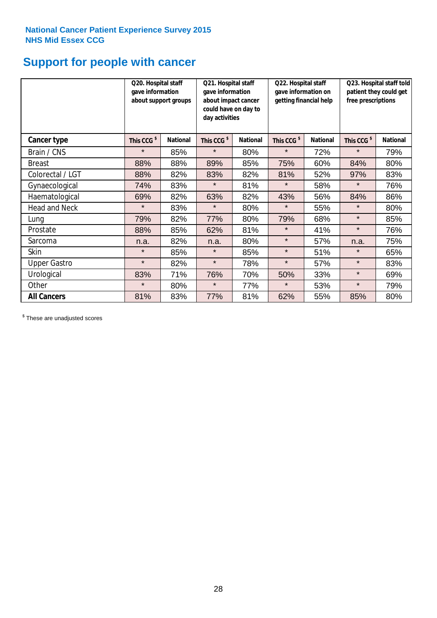### **Support for people with cancer**

|                      | Q20. Hospital staff<br>gave information | about support groups | Q21. Hospital staff<br>gave information<br>about impact cancer<br>could have on day to<br>day activities |                 | Q22. Hospital staff<br>gave information on<br>getting financial help |                 | Q23. Hospital staff told<br>patient they could get<br>free prescriptions |                 |
|----------------------|-----------------------------------------|----------------------|----------------------------------------------------------------------------------------------------------|-----------------|----------------------------------------------------------------------|-----------------|--------------------------------------------------------------------------|-----------------|
| Cancer type          | This CCG <sup>\$</sup>                  | <b>National</b>      | This CCG <sup>\$</sup>                                                                                   | <b>National</b> | This CCG <sup>\$</sup>                                               | <b>National</b> | This CCG <sup>\$</sup>                                                   | <b>National</b> |
| Brain / CNS          | $\star$                                 | 85%                  | $\star$                                                                                                  | 80%             | $\star$                                                              | 72%             | $\star$                                                                  | 79%             |
| <b>Breast</b>        | 88%                                     | 88%                  | 89%                                                                                                      | 85%             | 75%                                                                  | 60%             | 84%                                                                      | 80%             |
| Colorectal / LGT     | 88%                                     | 82%                  | 83%                                                                                                      | 82%             | 81%                                                                  | 52%             | 97%                                                                      | 83%             |
| Gynaecological       | 74%                                     | 83%                  | $\star$                                                                                                  | 81%             | $\star$                                                              | 58%             | $\star$                                                                  | 76%             |
| Haematological       | 69%                                     | 82%                  | 63%                                                                                                      | 82%             | 43%                                                                  | 56%             | 84%                                                                      | 86%             |
| <b>Head and Neck</b> | $\star$                                 | 83%                  | $\star$                                                                                                  | 80%             | $\star$                                                              | 55%             | $\star$                                                                  | 80%             |
| Lung                 | 79%                                     | 82%                  | 77%                                                                                                      | 80%             | 79%                                                                  | 68%             | $\star$                                                                  | 85%             |
| Prostate             | 88%                                     | 85%                  | 62%                                                                                                      | 81%             | $\star$                                                              | 41%             | $\star$                                                                  | 76%             |
| Sarcoma              | n.a.                                    | 82%                  | n.a.                                                                                                     | 80%             | $\star$                                                              | 57%             | n.a.                                                                     | 75%             |
| Skin                 | $\star$                                 | 85%                  | $\star$                                                                                                  | 85%             | $\star$                                                              | 51%             | $\star$                                                                  | 65%             |
| <b>Upper Gastro</b>  | $\star$                                 | 82%                  | $\star$                                                                                                  | 78%             | $\star$                                                              | 57%             | $\star$                                                                  | 83%             |
| Urological           | 83%                                     | 71%                  | 76%                                                                                                      | 70%             | 50%                                                                  | 33%             | $\star$                                                                  | 69%             |
| Other                | $\star$                                 | 80%                  | $\star$                                                                                                  | 77%             | $\star$                                                              | 53%             | $\star$                                                                  | 79%             |
| <b>All Cancers</b>   | 81%                                     | 83%                  | 77%                                                                                                      | 81%             | 62%                                                                  | 55%             | 85%                                                                      | 80%             |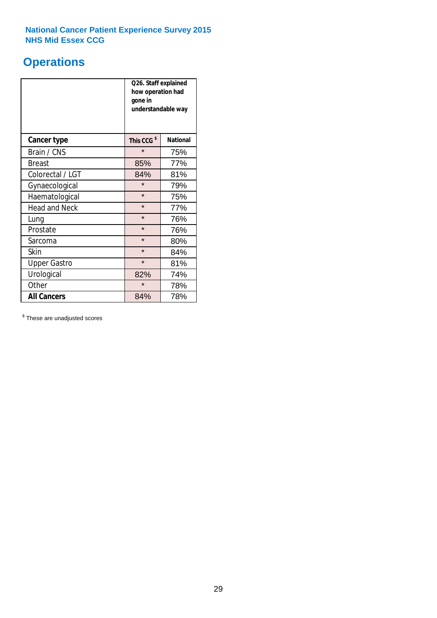### **Operations**

|                      | Q26. Staff explained<br>how operation had<br>gone in<br>understandable way |                 |  |  |
|----------------------|----------------------------------------------------------------------------|-----------------|--|--|
| <b>Cancer type</b>   | This CCG <sup>\$</sup>                                                     | <b>National</b> |  |  |
| Brain / CNS          | $\star$                                                                    | 75%             |  |  |
| <b>Breast</b>        | 85%                                                                        | 77%             |  |  |
| Colorectal / LGT     | 84%                                                                        | 81%             |  |  |
| Gynaecological       | $\star$                                                                    | 79%             |  |  |
| Haematological       | $\star$                                                                    | 75%             |  |  |
| <b>Head and Neck</b> | $\star$                                                                    | 77%             |  |  |
| Lung                 | $\star$                                                                    | 76%             |  |  |
| Prostate             | $\star$                                                                    | 76%             |  |  |
| Sarcoma              | $\star$                                                                    | 80%             |  |  |
| Skin                 | $\star$                                                                    | 84%             |  |  |
| <b>Upper Gastro</b>  | $\star$                                                                    | 81%             |  |  |
| Urological           | 82%                                                                        | 74%             |  |  |
| Other                | $\star$                                                                    | 78%             |  |  |
| <b>All Cancers</b>   | 84%                                                                        | 78%             |  |  |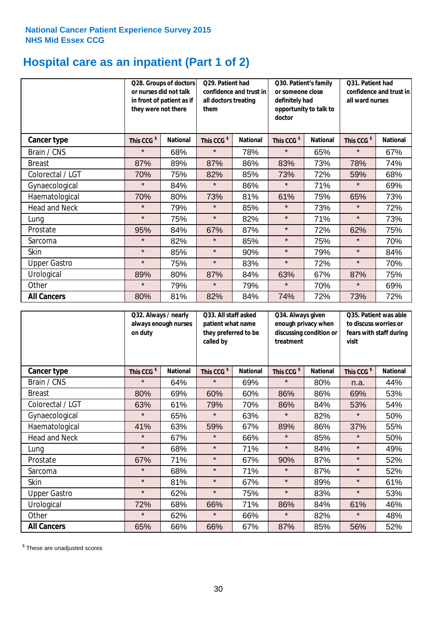## **Hospital care as an inpatient (Part 1 of 2)**

|                      | or nurses did not talk<br>they were not there | Q28. Groups of doctors<br>in front of patient as if | Q29. Patient had<br>confidence and trust in<br>all doctors treating<br>them |                 | Q30. Patient's family<br>or someone close<br>definitely had<br>opportunity to talk to<br>doctor |                 | Q31. Patient had<br>confidence and trust in I<br>all ward nurses |                 |
|----------------------|-----------------------------------------------|-----------------------------------------------------|-----------------------------------------------------------------------------|-----------------|-------------------------------------------------------------------------------------------------|-----------------|------------------------------------------------------------------|-----------------|
| Cancer type          | This CCG <sup>\$</sup>                        | <b>National</b>                                     | This CCG <sup>\$</sup>                                                      | <b>National</b> | This CCG <sup>\$</sup>                                                                          | <b>National</b> | This CCG <sup>\$</sup>                                           | <b>National</b> |
| Brain / CNS          | $\star$                                       | 68%                                                 | $\star$                                                                     | 78%             | $\star$                                                                                         | 65%             | $\star$                                                          | 67%             |
| <b>Breast</b>        | 87%                                           | 89%                                                 | 87%                                                                         | 86%             | 83%                                                                                             | 73%             | 78%                                                              | 74%             |
| Colorectal / LGT     | 70%                                           | 75%                                                 | 82%                                                                         | 85%             | 73%                                                                                             | 72%             | 59%                                                              | 68%             |
| Gynaecological       | $\star$                                       | 84%                                                 | $\star$                                                                     | 86%             | $\star$                                                                                         | 71%             | $\star$                                                          | 69%             |
| Haematological       | 70%                                           | 80%                                                 | 73%                                                                         | 81%             | 61%                                                                                             | 75%             | 65%                                                              | 73%             |
| <b>Head and Neck</b> | $\star$                                       | 79%                                                 | $\star$                                                                     | 85%             | $\star$                                                                                         | 73%             | $\star$                                                          | 72%             |
| Lung                 | $\star$                                       | 75%                                                 | $\star$                                                                     | 82%             | $\star$                                                                                         | 71%             | $\star$                                                          | 73%             |
| Prostate             | 95%                                           | 84%                                                 | 67%                                                                         | 87%             | $\star$                                                                                         | 72%             | 62%                                                              | 75%             |
| Sarcoma              | $\star$                                       | 82%                                                 | $\star$                                                                     | 85%             | $\star$                                                                                         | 75%             | $\star$                                                          | 70%             |
| Skin                 | $\star$                                       | 85%                                                 | $\star$                                                                     | 90%             | $\star$                                                                                         | 79%             | $\star$                                                          | 84%             |
| <b>Upper Gastro</b>  | $\star$                                       | 75%                                                 | $\star$                                                                     | 83%             | $\star$                                                                                         | 72%             | $\star$                                                          | 70%             |
| Urological           | 89%                                           | 80%                                                 | 87%                                                                         | 84%             | 63%                                                                                             | 67%             | 87%                                                              | 75%             |
| Other                | $\star$                                       | 79%                                                 | $\star$                                                                     | 79%             | $\star$                                                                                         | 70%             | $\star$                                                          | 69%             |
| <b>All Cancers</b>   | 80%                                           | 81%                                                 | 82%                                                                         | 84%             | 74%                                                                                             | 72%             | 73%                                                              | 72%             |

|                      | Q32. Always / nearly<br>always enough nurses<br>on duty |                 | Q33. All staff asked<br>patient what name<br>they preferred to be<br>called by |                 | Q34. Always given<br>enough privacy when<br>discussing condition or<br>treatment |                 | Q35. Patient was able<br>to discuss worries or<br>fears with staff during<br>visit |                 |
|----------------------|---------------------------------------------------------|-----------------|--------------------------------------------------------------------------------|-----------------|----------------------------------------------------------------------------------|-----------------|------------------------------------------------------------------------------------|-----------------|
| <b>Cancer type</b>   | This CCG <sup>\$</sup>                                  | <b>National</b> | This CCG <sup>\$</sup>                                                         | <b>National</b> | This CCG <sup>\$</sup>                                                           | <b>National</b> | This CCG <sup>\$</sup>                                                             | <b>National</b> |
| Brain / CNS          | $\star$                                                 | 64%             | $\star$                                                                        | 69%             | $\star$                                                                          | 80%             | n.a.                                                                               | 44%             |
| <b>Breast</b>        | 80%                                                     | 69%             | 60%                                                                            | 60%             | 86%                                                                              | 86%             | 69%                                                                                | 53%             |
| Colorectal / LGT     | 63%                                                     | 61%             | 79%                                                                            | 70%             | 86%                                                                              | 84%             | 53%                                                                                | 54%             |
| Gynaecological       | $\star$                                                 | 65%             | $\star$                                                                        | 63%             | $\star$                                                                          | 82%             | $\star$                                                                            | 50%             |
| Haematological       | 41%                                                     | 63%             | 59%                                                                            | 67%             | 89%                                                                              | 86%             | 37%                                                                                | 55%             |
| <b>Head and Neck</b> | $\star$                                                 | 67%             | $\star$                                                                        | 66%             | $\star$                                                                          | 85%             | $\star$                                                                            | 50%             |
| Lung                 | $\star$                                                 | 68%             | $\star$                                                                        | 71%             | $\star$                                                                          | 84%             | $\star$                                                                            | 49%             |
| Prostate             | 67%                                                     | 71%             | $\star$                                                                        | 67%             | 90%                                                                              | 87%             | $\star$                                                                            | 52%             |
| Sarcoma              | $\star$                                                 | 68%             | $\star$                                                                        | 71%             | $\star$                                                                          | 87%             | $\star$                                                                            | 52%             |
| Skin                 | $\star$                                                 | 81%             | $\star$                                                                        | 67%             | $\star$                                                                          | 89%             | $\star$                                                                            | 61%             |
| <b>Upper Gastro</b>  | $\star$                                                 | 62%             | $\star$                                                                        | 75%             | $\star$                                                                          | 83%             | $\star$                                                                            | 53%             |
| Urological           | 72%                                                     | 68%             | 66%                                                                            | 71%             | 86%                                                                              | 84%             | 61%                                                                                | 46%             |
| Other                | $\star$                                                 | 62%             | $\star$                                                                        | 66%             | $\star$                                                                          | 82%             | $\star$                                                                            | 48%             |
| <b>All Cancers</b>   | 65%                                                     | 66%             | 66%                                                                            | 67%             | 87%                                                                              | 85%             | 56%                                                                                | 52%             |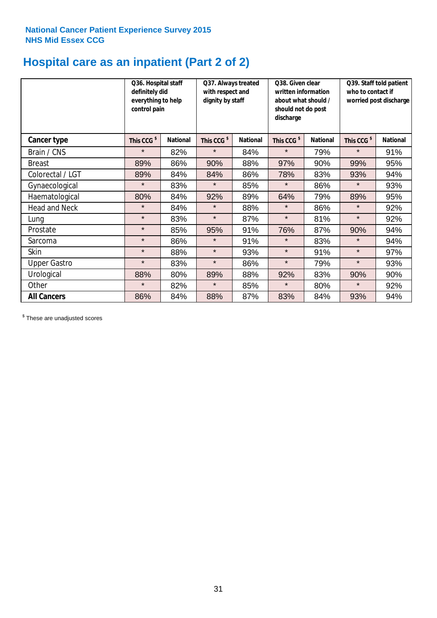## **Hospital care as an inpatient (Part 2 of 2)**

|                      | Q36. Hospital staff<br>definitely did<br>everything to help<br>control pain |                 | Q37. Always treated<br>with respect and<br>dignity by staff |                 | Q38. Given clear<br>written information<br>about what should /<br>should not do post<br>discharge |                 | Q39. Staff told patient<br>who to contact if<br>worried post discharge |                 |
|----------------------|-----------------------------------------------------------------------------|-----------------|-------------------------------------------------------------|-----------------|---------------------------------------------------------------------------------------------------|-----------------|------------------------------------------------------------------------|-----------------|
| <b>Cancer type</b>   | This CCG <sup>\$</sup>                                                      | <b>National</b> | This CCG <sup>\$</sup>                                      | <b>National</b> | This CCG <sup>\$</sup>                                                                            | <b>National</b> | This CCG <sup>\$</sup>                                                 | <b>National</b> |
| Brain / CNS          | $\star$                                                                     | 82%             | $\star$                                                     | 84%             | $\star$                                                                                           | 79%             | $\star$                                                                | 91%             |
| <b>Breast</b>        | 89%                                                                         | 86%             | 90%                                                         | 88%             | 97%                                                                                               | 90%             | 99%                                                                    | 95%             |
| Colorectal / LGT     | 89%                                                                         | 84%             | 84%                                                         | 86%             | 78%                                                                                               | 83%             | 93%                                                                    | 94%             |
| Gynaecological       | $\star$                                                                     | 83%             | $\star$                                                     | 85%             | $\star$                                                                                           | 86%             | $\star$                                                                | 93%             |
| Haematological       | 80%                                                                         | 84%             | 92%                                                         | 89%             | 64%                                                                                               | 79%             | 89%                                                                    | 95%             |
| <b>Head and Neck</b> | $\star$                                                                     | 84%             | $\star$                                                     | 88%             | $\star$                                                                                           | 86%             | $\star$                                                                | 92%             |
| Lung                 | $\star$                                                                     | 83%             | $\star$                                                     | 87%             | $\star$                                                                                           | 81%             | $\star$                                                                | 92%             |
| Prostate             | $\star$                                                                     | 85%             | 95%                                                         | 91%             | 76%                                                                                               | 87%             | 90%                                                                    | 94%             |
| Sarcoma              | $\star$                                                                     | 86%             | $\star$                                                     | 91%             | $\star$                                                                                           | 83%             | $\star$                                                                | 94%             |
| Skin                 | $\star$                                                                     | 88%             | $\star$                                                     | 93%             | $\star$                                                                                           | 91%             | $\star$                                                                | 97%             |
| <b>Upper Gastro</b>  | $\star$                                                                     | 83%             | $\star$                                                     | 86%             | $\star$                                                                                           | 79%             | $\star$                                                                | 93%             |
| Urological           | 88%                                                                         | 80%             | 89%                                                         | 88%             | 92%                                                                                               | 83%             | 90%                                                                    | 90%             |
| Other                | $\star$                                                                     | 82%             | $\star$                                                     | 85%             | $\star$                                                                                           | 80%             | $\star$                                                                | 92%             |
| <b>All Cancers</b>   | 86%                                                                         | 84%             | 88%                                                         | 87%             | 83%                                                                                               | 84%             | 93%                                                                    | 94%             |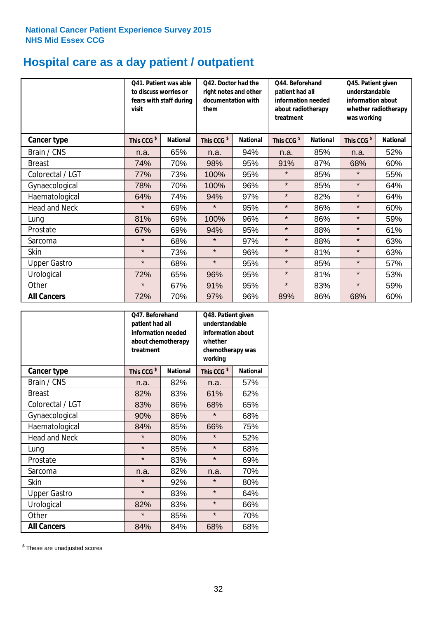## **Hospital care as a day patient / outpatient**

|                      | to discuss worries or<br>visit | Q41. Patient was able<br>fears with staff during | Q42. Doctor had the<br>right notes and other<br>documentation with<br>them |                 | Q44. Beforehand<br>patient had all<br>information needed<br>about radiotherapy<br>treatment |                 | Q45. Patient given<br>understandable<br>information about<br>whether radiotherapy<br>was working |                 |
|----------------------|--------------------------------|--------------------------------------------------|----------------------------------------------------------------------------|-----------------|---------------------------------------------------------------------------------------------|-----------------|--------------------------------------------------------------------------------------------------|-----------------|
| <b>Cancer type</b>   | This CCG <sup>\$</sup>         | <b>National</b>                                  | This CCG <sup>\$</sup>                                                     | <b>National</b> | This CCG <sup>\$</sup>                                                                      | <b>National</b> | This CCG <sup>\$</sup>                                                                           | <b>National</b> |
| Brain / CNS          | n.a.                           | 65%                                              | n.a.                                                                       | 94%             | n.a.                                                                                        | 85%             | n.a.                                                                                             | 52%             |
| <b>Breast</b>        | 74%                            | 70%                                              | 98%                                                                        | 95%             | 91%                                                                                         | 87%             | 68%                                                                                              | 60%             |
| Colorectal / LGT     | 77%                            | 73%                                              | 100%                                                                       | 95%             | $\star$                                                                                     | 85%             | $\star$                                                                                          | 55%             |
| Gynaecological       | 78%                            | 70%                                              | 100%                                                                       | 96%             | $\star$                                                                                     | 85%             | $\star$                                                                                          | 64%             |
| Haematological       | 64%                            | 74%                                              | 94%                                                                        | 97%             | $\star$                                                                                     | 82%             | $\star$                                                                                          | 64%             |
| <b>Head and Neck</b> | $\star$                        | 69%                                              | $\star$                                                                    | 95%             | $\star$                                                                                     | 86%             | $\star$                                                                                          | 60%             |
| Lung                 | 81%                            | 69%                                              | 100%                                                                       | 96%             | $\star$                                                                                     | 86%             | $\star$                                                                                          | 59%             |
| Prostate             | 67%                            | 69%                                              | 94%                                                                        | 95%             | $\star$                                                                                     | 88%             | $\star$                                                                                          | 61%             |
| Sarcoma              | $\star$                        | 68%                                              | $\star$                                                                    | 97%             | $\star$                                                                                     | 88%             | $\star$                                                                                          | 63%             |
| Skin                 | $\star$                        | 73%                                              | $\star$                                                                    | 96%             | $\star$                                                                                     | 81%             | $\star$                                                                                          | 63%             |
| <b>Upper Gastro</b>  | $\star$                        | 68%                                              | $\star$                                                                    | 95%             | $\star$                                                                                     | 85%             | $\star$                                                                                          | 57%             |
| Urological           | 72%                            | 65%                                              | 96%                                                                        | 95%             | $\star$                                                                                     | 81%             | $\star$                                                                                          | 53%             |
| Other                | $\star$                        | 67%                                              | 91%                                                                        | 95%             | $\star$                                                                                     | 83%             | $\star$                                                                                          | 59%             |
| <b>All Cancers</b>   | 72%                            | 70%                                              | 97%                                                                        | 96%             | 89%                                                                                         | 86%             | 68%                                                                                              | 60%             |

|                      | Q47. Beforehand<br>patient had all<br>information needed<br>about chemotherapy<br>treatment |                 | whether<br>working     | Q48. Patient given<br>understandable<br>information about<br>chemotherapy was |  |  |
|----------------------|---------------------------------------------------------------------------------------------|-----------------|------------------------|-------------------------------------------------------------------------------|--|--|
| <b>Cancer type</b>   | This CCG <sup>\$</sup>                                                                      | <b>National</b> | This CCG <sup>\$</sup> | <b>National</b>                                                               |  |  |
| Brain / CNS          | n.a.                                                                                        | 82%             | n.a.                   | 57%                                                                           |  |  |
| <b>Breast</b>        | 82%                                                                                         | 83%             | 61%                    | 62%                                                                           |  |  |
| Colorectal / LGT     | 83%                                                                                         | 86%             | 68%                    | 65%                                                                           |  |  |
| Gynaecological       | 90%                                                                                         | 86%             | $\star$                | 68%                                                                           |  |  |
| Haematological       | 84%                                                                                         | 85%             |                        | 75%                                                                           |  |  |
| <b>Head and Neck</b> | $\star$                                                                                     | 80%             | $\star$                | 52%                                                                           |  |  |
| Lung                 | $\star$                                                                                     | 85%             | $\star$                | 68%                                                                           |  |  |
| Prostate             | $\star$                                                                                     | 83%             | $\star$                | 69%                                                                           |  |  |
| Sarcoma              | n.a.                                                                                        | 82%             | n.a.                   | 70%                                                                           |  |  |
| Skin                 | $\star$                                                                                     | 92%             | $\star$                | 80%                                                                           |  |  |
| <b>Upper Gastro</b>  | $\star$                                                                                     | 83%             | $\star$                | 64%                                                                           |  |  |
| Urological           | 82%                                                                                         | 83%             | $\star$                | 66%                                                                           |  |  |
| Other                | $\star$                                                                                     | 85%             | $\star$                | 70%                                                                           |  |  |
| <b>All Cancers</b>   | 84%                                                                                         | 84%             | 68%                    | 68%                                                                           |  |  |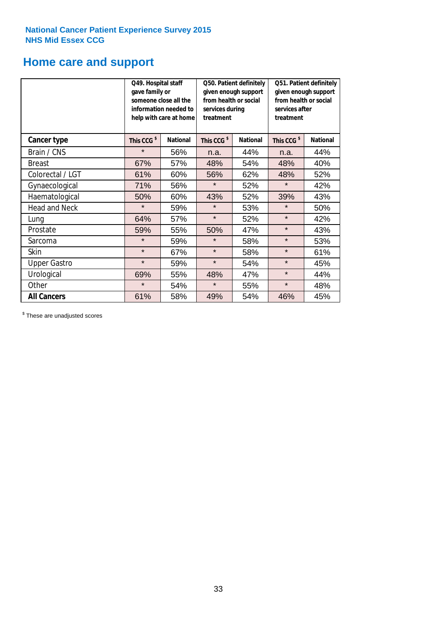# **Home care and support**

|                      | Q49. Hospital staff<br>gave family or | someone close all the<br>information needed to<br>help with care at home | Q50. Patient definitely<br>given enough support<br>from health or social<br>services during<br>treatment |                 | Q51. Patient definitely<br>given enough support<br>from health or social<br>services after<br>treatment |                 |  |
|----------------------|---------------------------------------|--------------------------------------------------------------------------|----------------------------------------------------------------------------------------------------------|-----------------|---------------------------------------------------------------------------------------------------------|-----------------|--|
| <b>Cancer type</b>   | This CCG <sup>\$</sup>                | <b>National</b>                                                          | This CCG <sup>\$</sup>                                                                                   | <b>National</b> | This CCG <sup>\$</sup>                                                                                  | <b>National</b> |  |
| Brain / CNS          | $\star$                               | 56%                                                                      | n.a.                                                                                                     | 44%             | n.a.                                                                                                    | 44%             |  |
| <b>Breast</b>        | 67%                                   | 57%                                                                      | 48%                                                                                                      | 54%             | 48%                                                                                                     | 40%             |  |
| Colorectal / LGT     | 61%                                   | 60%                                                                      | 56%                                                                                                      | 62%             | 48%                                                                                                     | 52%             |  |
| Gynaecological       | 71%                                   | 56%                                                                      | $\star$                                                                                                  | 52%             | $\star$                                                                                                 | 42%             |  |
| Haematological       | 50%                                   | 60%                                                                      | 43%                                                                                                      | 52%             | 39%                                                                                                     | 43%             |  |
| <b>Head and Neck</b> | $\star$                               | 59%                                                                      | $\star$                                                                                                  | 53%             | $\star$                                                                                                 | 50%             |  |
| Lung                 | 64%                                   | 57%                                                                      | $\star$                                                                                                  | 52%             | $\star$                                                                                                 | 42%             |  |
| Prostate             | 59%                                   | 55%                                                                      | 50%                                                                                                      | 47%             | $\star$                                                                                                 | 43%             |  |
| Sarcoma              | $\star$                               | 59%                                                                      | $\star$                                                                                                  | 58%             | $\star$                                                                                                 | 53%             |  |
| Skin                 | $\star$                               | 67%                                                                      | $\star$                                                                                                  | 58%             | $\star$                                                                                                 | 61%             |  |
| <b>Upper Gastro</b>  | $\star$                               | 59%                                                                      | $\star$                                                                                                  | 54%             | $\star$                                                                                                 | 45%             |  |
| Urological           | 69%                                   | 55%                                                                      | 48%                                                                                                      | 47%             | $\star$                                                                                                 | 44%             |  |
| Other                | $\star$                               | 54%                                                                      | $\star$                                                                                                  | 55%             | $\star$                                                                                                 | 48%             |  |
| <b>All Cancers</b>   | 61%                                   | 58%                                                                      | 49%                                                                                                      | 54%             | 46%                                                                                                     | 45%             |  |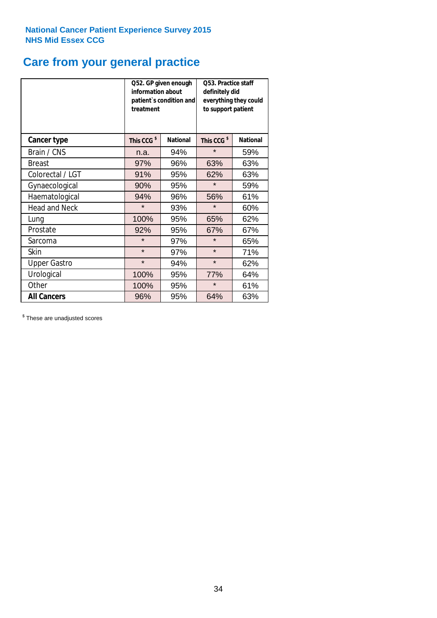### **Care from your general practice**

|                      | information about<br>treatment | Q52. GP given enough<br>patient's condition and | <b>O53. Practice staff</b><br>definitely did<br>everything they could<br>to support patient |                 |  |
|----------------------|--------------------------------|-------------------------------------------------|---------------------------------------------------------------------------------------------|-----------------|--|
| <b>Cancer type</b>   | This CCG <sup>\$</sup>         | <b>National</b>                                 | This CCG <sup>\$</sup>                                                                      | <b>National</b> |  |
| Brain / CNS          | n.a.                           | 94%                                             | $\star$                                                                                     | 59%             |  |
| <b>Breast</b>        | 97%                            | 96%                                             | 63%                                                                                         | 63%             |  |
| Colorectal / LGT     | 91%                            | 95%                                             | 62%                                                                                         | 63%             |  |
| Gynaecological       | 90%                            | 95%                                             | $\star$                                                                                     | 59%             |  |
| Haematological       | 94%                            | 96%                                             | 56%                                                                                         | 61%             |  |
| <b>Head and Neck</b> | $\star$                        | 93%                                             | $\star$                                                                                     | 60%             |  |
| Lung                 | 100%                           | 95%                                             | 65%                                                                                         | 62%             |  |
| Prostate             | 92%                            | 95%                                             | 67%                                                                                         | 67%             |  |
| Sarcoma              | $\star$                        | 97%                                             | $\star$                                                                                     | 65%             |  |
| <b>Skin</b>          | $\star$                        | 97%                                             | $\star$                                                                                     | 71%             |  |
| <b>Upper Gastro</b>  | $\star$                        | 94%                                             | $\star$                                                                                     | 62%             |  |
| Urological           | 100%                           | 95%                                             | 77%                                                                                         | 64%             |  |
| Other                | 100%                           | 95%                                             | $\star$                                                                                     | 61%             |  |
| <b>All Cancers</b>   | 96%                            | 95%                                             | 64%                                                                                         | 63%             |  |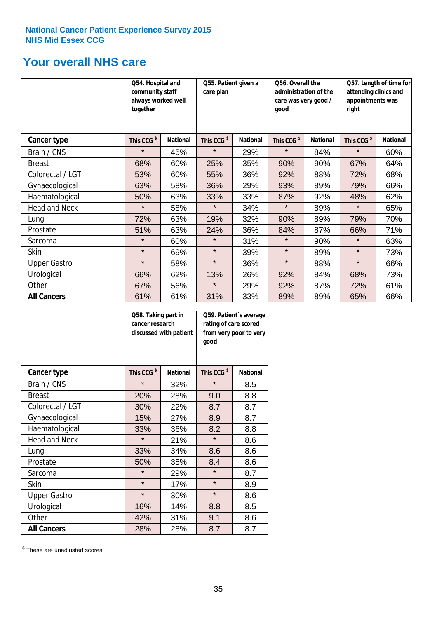### **Your overall NHS care**

|                      | Q54. Hospital and<br>community staff<br>always worked well<br>together |                 | Q55. Patient given a<br>care plan |                 | Q56. Overall the<br>administration of the<br>care was very good /<br>qood |                 | Q57. Length of time for<br>attending clinics and<br>appointments was<br>right |                 |
|----------------------|------------------------------------------------------------------------|-----------------|-----------------------------------|-----------------|---------------------------------------------------------------------------|-----------------|-------------------------------------------------------------------------------|-----------------|
| <b>Cancer type</b>   | This CCG <sup>\$</sup>                                                 | <b>National</b> | This CCG <sup>\$</sup>            | <b>National</b> | This CCG <sup>\$</sup>                                                    | <b>National</b> | This CCG <sup>\$</sup>                                                        | <b>National</b> |
| Brain / CNS          | $\star$                                                                | 45%             | $\star$                           | 29%             | $\star$                                                                   | 84%             | $\star$                                                                       | 60%             |
| <b>Breast</b>        | 68%                                                                    | 60%             | 25%                               | 35%             | 90%                                                                       | 90%             | 67%                                                                           | 64%             |
| Colorectal / LGT     | 53%                                                                    | 60%             | 55%                               | 36%             | 92%                                                                       | 88%             | 72%                                                                           | 68%             |
| Gynaecological       | 63%                                                                    | 58%             | 36%                               | 29%             | 93%                                                                       | 89%             | 79%                                                                           | 66%             |
| Haematological       | 50%                                                                    | 63%             | 33%                               | 33%             | 87%                                                                       | 92%             | 48%                                                                           | 62%             |
| <b>Head and Neck</b> | $\star$                                                                | 58%             | $\star$                           | 34%             | $\star$                                                                   | 89%             | $\star$                                                                       | 65%             |
| Lung                 | 72%                                                                    | 63%             | 19%                               | 32%             | 90%                                                                       | 89%             | 79%                                                                           | 70%             |
| Prostate             | 51%                                                                    | 63%             | 24%                               | 36%             | 84%                                                                       | 87%             | 66%                                                                           | 71%             |
| Sarcoma              | $\star$                                                                | 60%             | $\star$                           | 31%             | $\star$                                                                   | 90%             | $\star$                                                                       | 63%             |
| Skin                 | $\star$                                                                | 69%             | $\star$                           | 39%             | $\star$                                                                   | 89%             | $\star$                                                                       | 73%             |
| <b>Upper Gastro</b>  | $\star$                                                                | 58%             | $\star$                           | 36%             | $\star$                                                                   | 88%             | $\star$                                                                       | 66%             |
| Urological           | 66%                                                                    | 62%             | 13%                               | 26%             | 92%                                                                       | 84%             | 68%                                                                           | 73%             |
| Other                | 67%                                                                    | 56%             | $\star$                           | 29%             | 92%                                                                       | 87%             | 72%                                                                           | 61%             |
| <b>All Cancers</b>   | 61%                                                                    | 61%             | 31%                               | 33%             | 89%                                                                       | 89%             | 65%                                                                           | 66%             |

|                      | Q58. Taking part in<br>cancer research | discussed with patient | Q59. Patient's average<br>rating of care scored<br>from very poor to very<br>good |                 |  |
|----------------------|----------------------------------------|------------------------|-----------------------------------------------------------------------------------|-----------------|--|
| <b>Cancer type</b>   | This CCG <sup>\$</sup>                 | <b>National</b>        | This CCG <sup>\$</sup>                                                            | <b>National</b> |  |
| Brain / CNS          | $\star$                                | 32%                    | $\star$                                                                           | 8.5             |  |
| <b>Breast</b>        | 20%                                    | 28%                    | 9.0                                                                               | 8.8             |  |
| Colorectal / LGT     | 30%                                    | 22%                    | 8.7                                                                               | 8.7             |  |
| Gynaecological       | 15%                                    | 27%                    | 8.9                                                                               | 8.7             |  |
| Haematological       | 33%                                    | 36%                    | 8.2                                                                               | 8.8             |  |
| <b>Head and Neck</b> | $\star$                                | 21%                    | $\star$                                                                           | 8.6             |  |
| Lung                 | 33%                                    | 34%                    | 8.6                                                                               | 8.6             |  |
| Prostate             | 50%                                    | 35%                    | 8.4                                                                               | 8.6             |  |
| Sarcoma              | $\star$                                | 29%                    | $\star$                                                                           | 8.7             |  |
| Skin                 | $\star$                                | 17%                    | $\star$                                                                           | 8.9             |  |
| <b>Upper Gastro</b>  | $\star$                                | 30%                    | $\star$                                                                           | 8.6             |  |
| Urological           | 16%                                    | 14%                    | 8.8                                                                               | 8.5             |  |
| Other                | 42%                                    | 31%                    | 9.1                                                                               | 8.6             |  |
| <b>All Cancers</b>   | 28%                                    | 28%                    | 8.7                                                                               | 8.7             |  |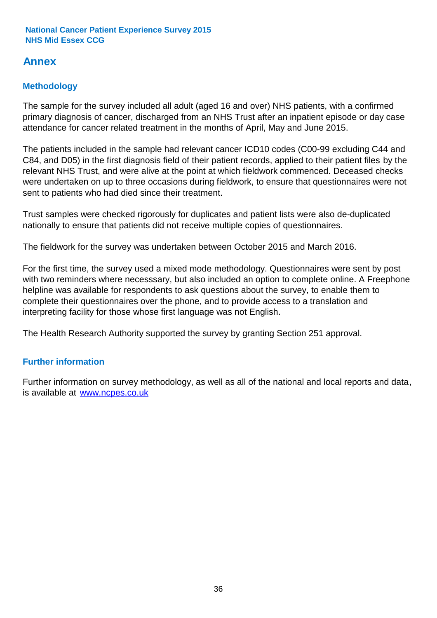### **Annex**

### **Methodology**

The sample for the survey included all adult (aged 16 and over) NHS patients, with a confirmed primary diagnosis of cancer, discharged from an NHS Trust after an inpatient episode or day case attendance for cancer related treatment in the months of April, May and June 2015.

The patients included in the sample had relevant cancer ICD10 codes (C00-99 excluding C44 and C84, and D05) in the first diagnosis field of their patient records, applied to their patient files by the relevant NHS Trust, and were alive at the point at which fieldwork commenced. Deceased checks were undertaken on up to three occasions during fieldwork, to ensure that questionnaires were not sent to patients who had died since their treatment.

Trust samples were checked rigorously for duplicates and patient lists were also de-duplicated nationally to ensure that patients did not receive multiple copies of questionnaires.

The fieldwork for the survey was undertaken between October 2015 and March 2016.

For the first time, the survey used a mixed mode methodology. Questionnaires were sent by post with two reminders where necesssary, but also included an option to complete online. A Freephone helpline was available for respondents to ask questions about the survey, to enable them to complete their questionnaires over the phone, and to provide access to a translation and interpreting facility for those whose first language was not English.

The Health Research Authority supported the survey by granting Section 251 approval.

#### **Further information**

Further information on survey methodology, as well as all of the national and local reports and data, is available at www.ncpes.co.uk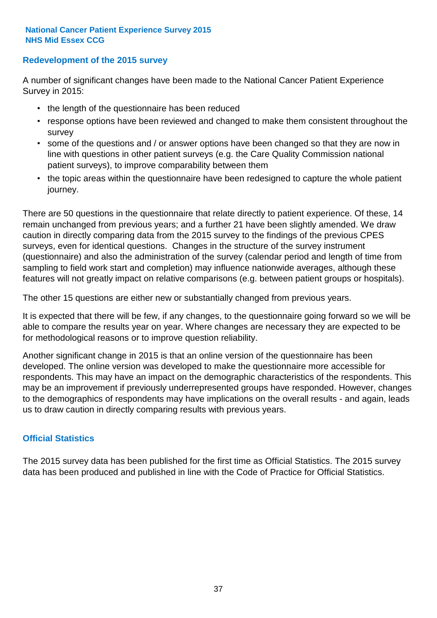#### **Redevelopment of the 2015 survey**

A number of significant changes have been made to the National Cancer Patient Experience Survey in 2015:

- the length of the questionnaire has been reduced
- response options have been reviewed and changed to make them consistent throughout the survey
- some of the questions and / or answer options have been changed so that they are now in line with questions in other patient surveys (e.g. the Care Quality Commission national patient surveys), to improve comparability between them
- the topic areas within the questionnaire have been redesigned to capture the whole patient journey.

There are 50 questions in the questionnaire that relate directly to patient experience. Of these, 14 remain unchanged from previous years; and a further 21 have been slightly amended. We draw caution in directly comparing data from the 2015 survey to the findings of the previous CPES surveys, even for identical questions. Changes in the structure of the survey instrument (questionnaire) and also the administration of the survey (calendar period and length of time from sampling to field work start and completion) may influence nationwide averages, although these features will not greatly impact on relative comparisons (e.g. between patient groups or hospitals).

The other 15 questions are either new or substantially changed from previous years.

It is expected that there will be few, if any changes, to the questionnaire going forward so we will be able to compare the results year on year. Where changes are necessary they are expected to be for methodological reasons or to improve question reliability.

Another significant change in 2015 is that an online version of the questionnaire has been developed. The online version was developed to make the questionnaire more accessible for respondents. This may have an impact on the demographic characteristics of the respondents. This may be an improvement if previously underrepresented groups have responded. However, changes to the demographics of respondents may have implications on the overall results - and again, leads us to draw caution in directly comparing results with previous years.

#### **Official Statistics**

The 2015 survey data has been published for the first time as Official Statistics. The 2015 survey data has been produced and published in line with the Code of Practice for Official Statistics.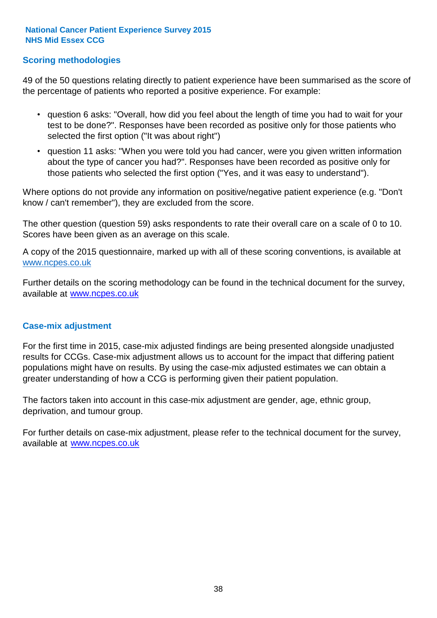#### **Scoring methodologies**

49 of the 50 questions relating directly to patient experience have been summarised as the score of the percentage of patients who reported a positive experience. For example:

- question 6 asks: "Overall, how did you feel about the length of time you had to wait for your test to be done?". Responses have been recorded as positive only for those patients who selected the first option ("It was about right")
- question 11 asks: "When you were told you had cancer, were you given written information about the type of cancer you had?". Responses have been recorded as positive only for those patients who selected the first option ("Yes, and it was easy to understand").

Where options do not provide any information on positive/negative patient experience (e.g. "Don't know / can't remember"), they are excluded from the score.

The other question (question 59) asks respondents to rate their overall care on a scale of 0 to 10. Scores have been given as an average on this scale.

A copy of the 2015 questionnaire, marked up with all of these scoring conventions, is available at www.ncpes.co.uk

Further details on the scoring methodology can be found in the technical document for the survey, available at <u>www.ncpes.co.uk</u>

#### **Case-mix adjustment**

For the first time in 2015, case-mix adjusted findings are being presented alongside unadjusted results for CCGs. Case-mix adjustment allows us to account for the impact that differing patient populations might have on results. By using the case-mix adjusted estimates we can obtain a greater understanding of how a CCG is performing given their patient population.

The factors taken into account in this case-mix adjustment are gender, age, ethnic group, deprivation, and tumour group.

For further details on case-mix adjustment, please refer to the technical document for the survey, available at www.ncpes.co.uk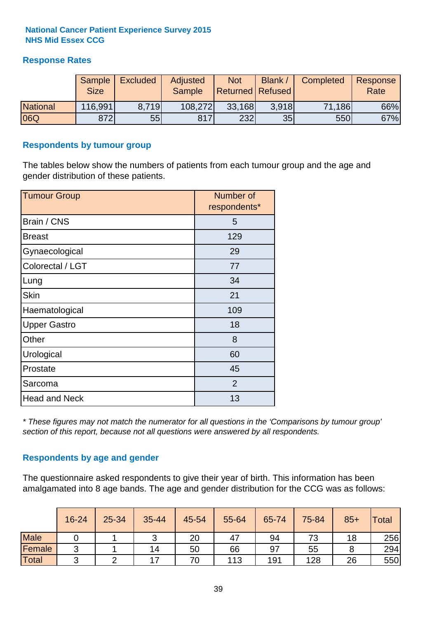#### **Response Rates**

|                 | Sample<br><b>Size</b> | <b>Excluded</b> | <b>Adjusted</b><br><b>Sample</b> | <b>Not</b><br><b>Returned Refused</b> | Blank | Completed | Response<br>Rate |
|-----------------|-----------------------|-----------------|----------------------------------|---------------------------------------|-------|-----------|------------------|
| <b>National</b> | 116,991               | 8.719           | 108,272                          | 33,168                                | 3.918 | 71,186    | 66%              |
| 06Q             | 872                   | 55              | 817                              | 232                                   | 35    | 550       | 67%              |

#### **Respondents by tumour group**

The tables below show the numbers of patients from each tumour group and the age and gender distribution of these patients.

| <b>Tumour Group</b>  | Number of<br>respondents* |
|----------------------|---------------------------|
| Brain / CNS          | 5                         |
| <b>Breast</b>        | 129                       |
| Gynaecological       | 29                        |
| Colorectal / LGT     | 77                        |
| Lung                 | 34                        |
| <b>Skin</b>          | 21                        |
| Haematological       | 109                       |
| <b>Upper Gastro</b>  | 18                        |
| Other                | 8                         |
| Urological           | 60                        |
| Prostate             | 45                        |
| Sarcoma              | $\overline{2}$            |
| <b>Head and Neck</b> | 13                        |

*\* These figures may not match the numerator for all questions in the 'Comparisons by tumour group' section of this report, because not all questions were answered by all respondents.*

#### **Respondents by age and gender**

The questionnaire asked respondents to give their year of birth. This information has been amalgamated into 8 age bands. The age and gender distribution for the CCG was as follows:

|             | 16-24      | 25-34 | 35-44          | 45-54 | 55-64 | 65-74 | 75-84 | $85+$ | <b>Total</b> |
|-------------|------------|-------|----------------|-------|-------|-------|-------|-------|--------------|
| <b>Male</b> |            |       | ◠<br>ັ         | 20    | 47    | 94    | 73    | 18    | 256          |
| Female      | ◠<br>ັ     |       | 14             | 50    | 66    | 97    | 55    |       | 294          |
| Total       | $\sqrt{2}$ |       | $\overline{ }$ | 70    | 113   | 191   | 128   | 26    | 550          |